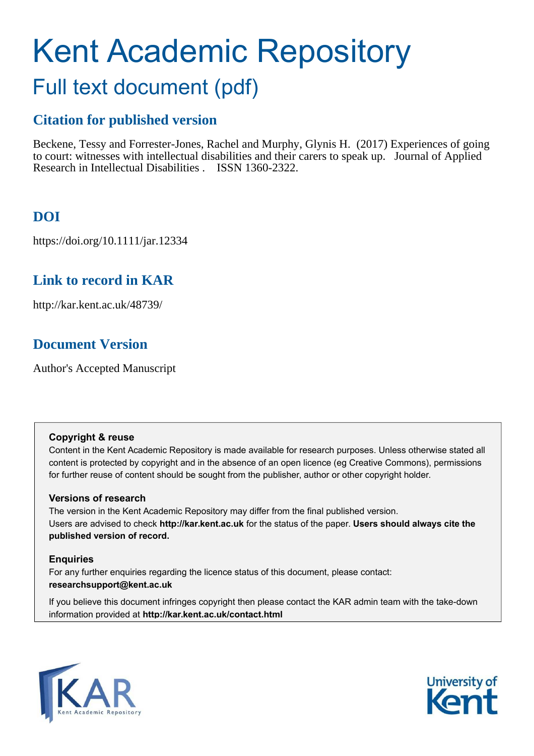# Kent Academic Repository

## Full text document (pdf)

## **Citation for published version**

Beckene, Tessy and Forrester-Jones, Rachel and Murphy, Glynis H. (2017) Experiences of going to court: witnesses with intellectual disabilities and their carers to speak up. Journal of Applied Research in Intellectual Disabilities . ISSN 1360-2322.

## **DOI**

https://doi.org/10.1111/jar.12334

## **Link to record in KAR**

http://kar.kent.ac.uk/48739/

## **Document Version**

Author's Accepted Manuscript

#### **Copyright & reuse**

Content in the Kent Academic Repository is made available for research purposes. Unless otherwise stated all content is protected by copyright and in the absence of an open licence (eg Creative Commons), permissions for further reuse of content should be sought from the publisher, author or other copyright holder.

#### **Versions of research**

The version in the Kent Academic Repository may differ from the final published version. Users are advised to check **http://kar.kent.ac.uk** for the status of the paper. **Users should always cite the published version of record.**

#### **Enquiries**

For any further enquiries regarding the licence status of this document, please contact: **researchsupport@kent.ac.uk**

If you believe this document infringes copyright then please contact the KAR admin team with the take-down information provided at **http://kar.kent.ac.uk/contact.html**



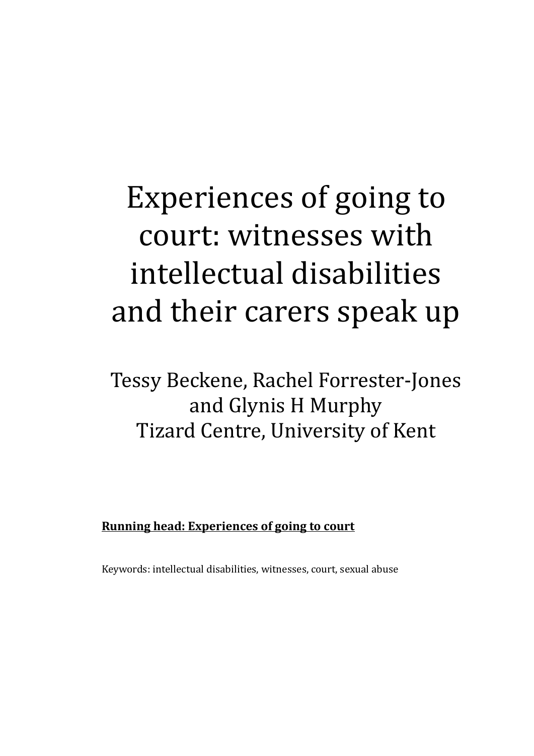## Experiences of going to court: witnesses with intellectual disabilities and their carers speak up

Tessy Beckene, Rachel Forrester-Jones and Glynis H Murphy Tizard Centre, University of Kent

**Running head: Experiences of going to court** 

Keywords: intellectual disabilities, witnesses, court, sexual abuse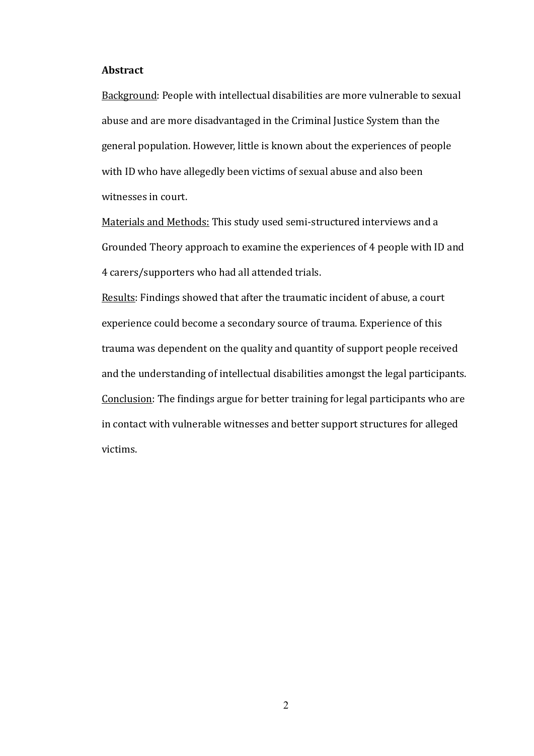#### **Abstract**

Background: People with intellectual disabilities are more vulnerable to sexual abuse and are more disadvantaged in the Criminal Justice System than the general population. However, little is known about the experiences of people with ID who have allegedly been victims of sexual abuse and also been witnesses in court.

Materials and Methods: This study used semi-structured interviews and a Grounded Theory approach to examine the experiences of 4 people with ID and 4 carers/supporters who had all attended trials.

Results: Findings showed that after the traumatic incident of abuse, a court experience could become a secondary source of trauma. Experience of this trauma was dependent on the quality and quantity of support people received and the understanding of intellectual disabilities amongst the legal participants. Conclusion: The findings argue for better training for legal participants who are in contact with vulnerable witnesses and better support structures for alleged victims.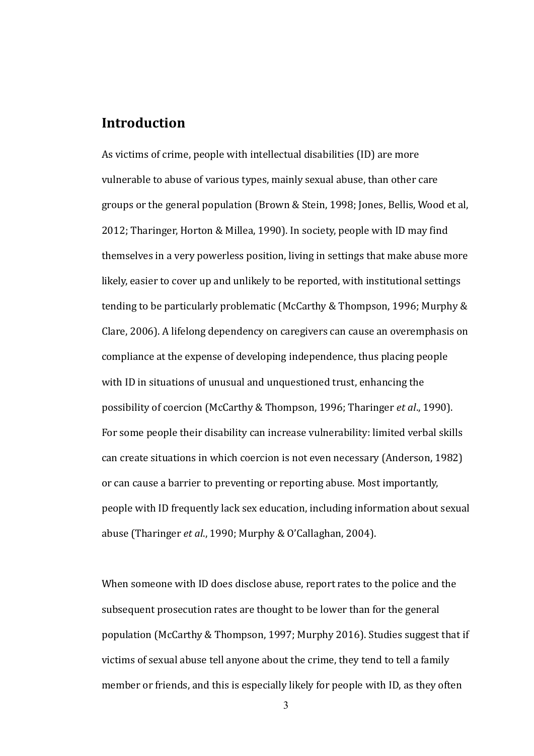#### **Introduction**

As victims of crime, people with intellectual disabilities (ID) are more vulnerable to abuse of various types, mainly sexual abuse, than other care groups or the general population (Brown & Stein, 1998; Jones, Bellis, Wood et al, 2012; Tharinger, Horton & Millea, 1990). In society, people with ID may find themselves in a very powerless position, living in settings that make abuse more likely, easier to cover up and unlikely to be reported, with institutional settings tending to be particularly problematic (McCarthy & Thompson, 1996; Murphy & Clare, 2006). A lifelong dependency on caregivers can cause an overemphasis on compliance at the expense of developing independence, thus placing people with ID in situations of unusual and unquestioned trust, enhancing the possibility of coercion (McCarthy & Thompson, 1996; Tharinger et al., 1990). For some people their disability can increase vulnerability: limited verbal skills can create situations in which coercion is not even necessary (Anderson, 1982) or can cause a barrier to preventing or reporting abuse. Most importantly, people with ID frequently lack sex education, including information about sexual abuse (Tharinger et al., 1990; Murphy & O'Callaghan, 2004).

When someone with ID does disclose abuse, report rates to the police and the subsequent prosecution rates are thought to be lower than for the general population (McCarthy & Thompson, 1997; Murphy 2016). Studies suggest that if victims of sexual abuse tell anyone about the crime, they tend to tell a family member or friends, and this is especially likely for people with ID, as they often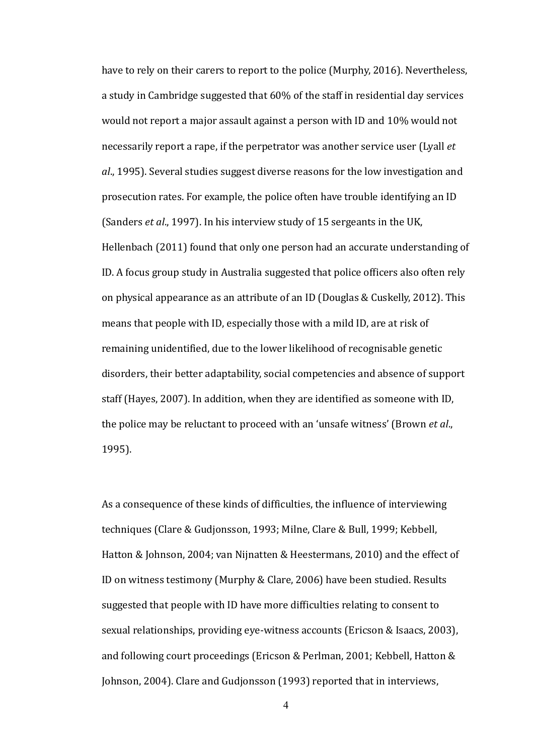have to rely on their carers to report to the police (Murphy, 2016). Nevertheless, a study in Cambridge suggested that 60% of the staff in residential day services would not report a major assault against a person with ID and  $10\%$  would not necessarily report a rape, if the perpetrator was another service user (Lyall *et* al., 1995). Several studies suggest diverse reasons for the low investigation and prosecution rates. For example, the police often have trouble identifying an ID (Sanders *et al.*, 1997). In his interview study of 15 sergeants in the UK, Hellenbach (2011) found that only one person had an accurate understanding of ID. A focus group study in Australia suggested that police officers also often rely on physical appearance as an attribute of an ID (Douglas & Cuskelly, 2012). This means that people with ID, especially those with a mild ID, are at risk of remaining unidentified, due to the lower likelihood of recognisable genetic disorders, their better adaptability, social competencies and absence of support staff (Hayes, 2007). In addition, when they are identified as someone with ID, the police may be reluctant to proceed with an 'unsafe witness' (Brown *et al.*, 1995).

As a consequence of these kinds of difficulties, the influence of interviewing techniques (Clare & Gudjonsson, 1993; Milne, Clare & Bull, 1999; Kebbell, Hatton & Johnson, 2004; van Nijnatten & Heestermans, 2010) and the effect of ID on witness testimony (Murphy & Clare, 2006) have been studied. Results suggested that people with ID have more difficulties relating to consent to sexual relationships, providing eye-witness accounts (Ericson & Isaacs, 2003), and following court proceedings (Ericson & Perlman, 2001; Kebbell, Hatton & Johnson, 2004). Clare and Gudjonsson (1993) reported that in interviews,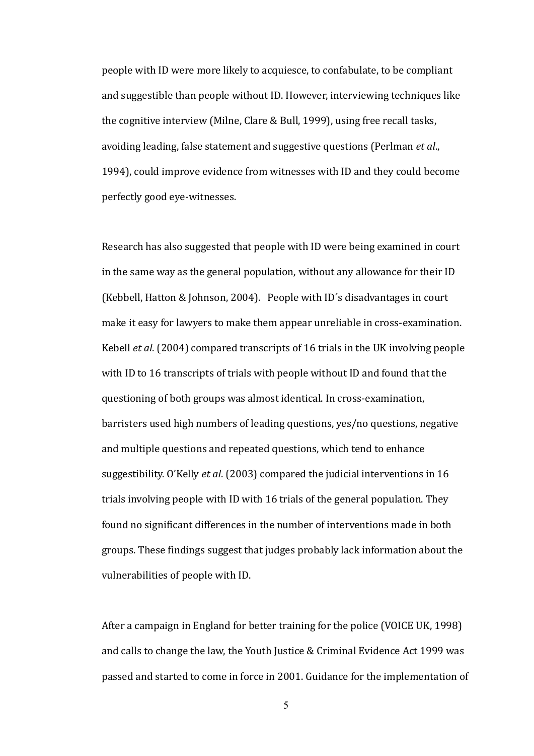people with ID were more likely to acquiesce, to confabulate, to be compliant and suggestible than people without ID. However, interviewing techniques like the cognitive interview (Milne, Clare & Bull, 1999), using free recall tasks, avoiding leading, false statement and suggestive questions (Perlman *et al.*, 1994), could improve evidence from witnesses with ID and they could become perfectly good eye-witnesses.

Research has also suggested that people with ID were being examined in court in the same way as the general population, without any allowance for their ID (Kebbell, Hatton & Johnson, 2004). People with ID's disadvantages in court make it easy for lawyers to make them appear unreliable in cross-examination. Kebell *et al.* (2004) compared transcripts of 16 trials in the UK involving people with ID to 16 transcripts of trials with people without ID and found that the questioning of both groups was almost identical. In cross-examination, barristers used high numbers of leading questions, yes/no questions, negative and multiple questions and repeated questions, which tend to enhance suggestibility. O'Kelly *et al.* (2003) compared the judicial interventions in 16 trials involving people with ID with 16 trials of the general population. They found no significant differences in the number of interventions made in both groups. These findings suggest that judges probably lack information about the vulnerabilities of people with ID.

After a campaign in England for better training for the police (VOICE UK, 1998) and calls to change the law, the Youth Justice & Criminal Evidence Act 1999 was passed and started to come in force in 2001. Guidance for the implementation of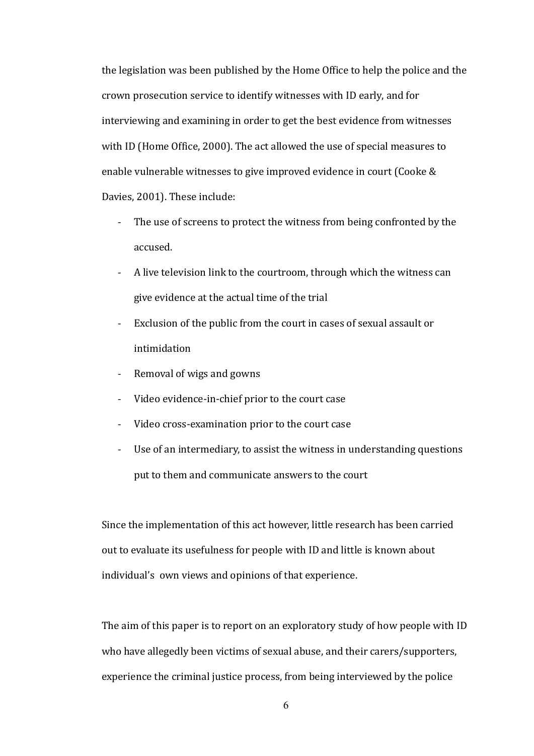the legislation was been published by the Home Office to help the police and the crown prosecution service to identify witnesses with ID early, and for interviewing and examining in order to get the best evidence from witnesses with ID (Home Office, 2000). The act allowed the use of special measures to enable vulnerable witnesses to give improved evidence in court (Cooke & Davies, 2001). These include:

- The use of screens to protect the witness from being confronted by the accused.
- A live television link to the courtroom, through which the witness can give evidence at the actual time of the trial
- Exclusion of the public from the court in cases of sexual assault or intimidation
- Removal of wigs and gowns
- Video evidence-in-chief prior to the court case
- Video cross-examination prior to the court case
- Use of an intermediary, to assist the witness in understanding questions put to them and communicate answers to the court

Since the implementation of this act however, little research has been carried out to evaluate its usefulness for people with ID and little is known about individual's own views and opinions of that experience.

The aim of this paper is to report on an exploratory study of how people with ID who have allegedly been victims of sexual abuse, and their carers/supporters, experience the criminal justice process, from being interviewed by the police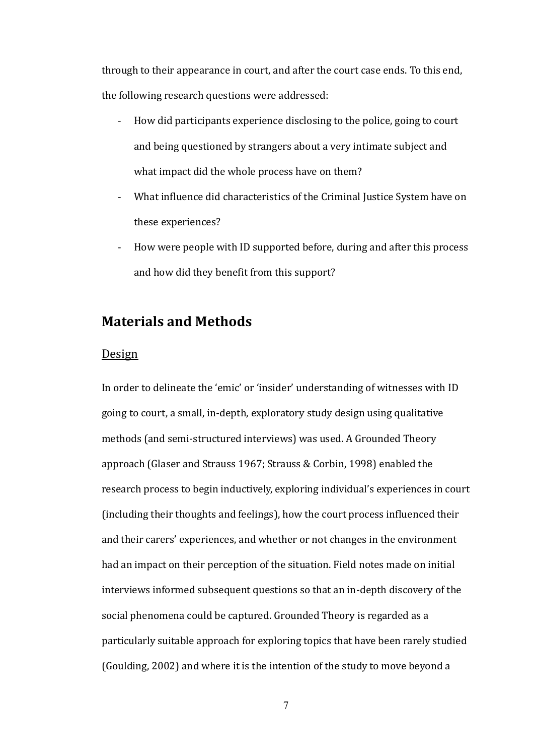through to their appearance in court, and after the court case ends. To this end, the following research questions were addressed:

- How did participants experience disclosing to the police, going to court and being questioned by strangers about a very intimate subject and what impact did the whole process have on them?
- What influence did characteristics of the Criminal Justice System have on these experiences?
- How were people with ID supported before, during and after this process  $\overline{a}$ and how did they benefit from this support?

#### **Materials and Methods**

#### Design

In order to delineate the 'emic' or 'insider' understanding of witnesses with ID going to court, a small, in-depth, exploratory study design using qualitative methods (and semi-structured interviews) was used. A Grounded Theory approach (Glaser and Strauss 1967; Strauss & Corbin, 1998) enabled the research process to begin inductively, exploring individual's experiences in court (including their thoughts and feelings), how the court process influenced their and their carers' experiences, and whether or not changes in the environment had an impact on their perception of the situation. Field notes made on initial interviews informed subsequent questions so that an in-depth discovery of the social phenomena could be captured. Grounded Theory is regarded as a particularly suitable approach for exploring topics that have been rarely studied (Goulding, 2002) and where it is the intention of the study to move beyond a

 $\overline{7}$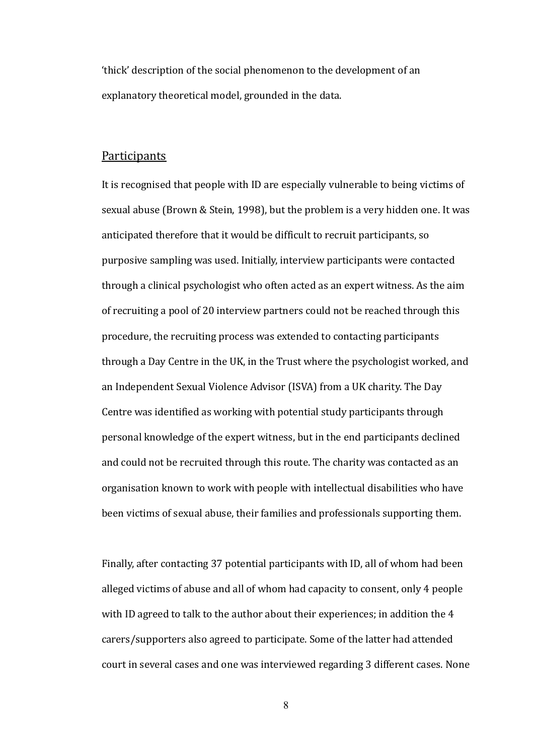'thick' description of the social phenomenon to the development of an explanatory theoretical model, grounded in the data.

#### **Participants**

It is recognised that people with ID are especially vulnerable to being victims of sexual abuse (Brown & Stein, 1998), but the problem is a very hidden one. It was anticipated therefore that it would be difficult to recruit participants, so purposive sampling was used. Initially, interview participants were contacted through a clinical psychologist who often acted as an expert witness. As the aim of recruiting a pool of 20 interview partners could not be reached through this procedure, the recruiting process was extended to contacting participants through a Day Centre in the UK, in the Trust where the psychologist worked, and an Independent Sexual Violence Advisor (ISVA) from a UK charity. The Day Centre was identified as working with potential study participants through personal knowledge of the expert witness, but in the end participants declined and could not be recruited through this route. The charity was contacted as an organisation known to work with people with intellectual disabilities who have been victims of sexual abuse, their families and professionals supporting them.

Finally, after contacting 37 potential participants with ID, all of whom had been alleged victims of abuse and all of whom had capacity to consent, only 4 people with ID agreed to talk to the author about their experiences; in addition the 4 carers/supporters also agreed to participate. Some of the latter had attended court in several cases and one was interviewed regarding 3 different cases. None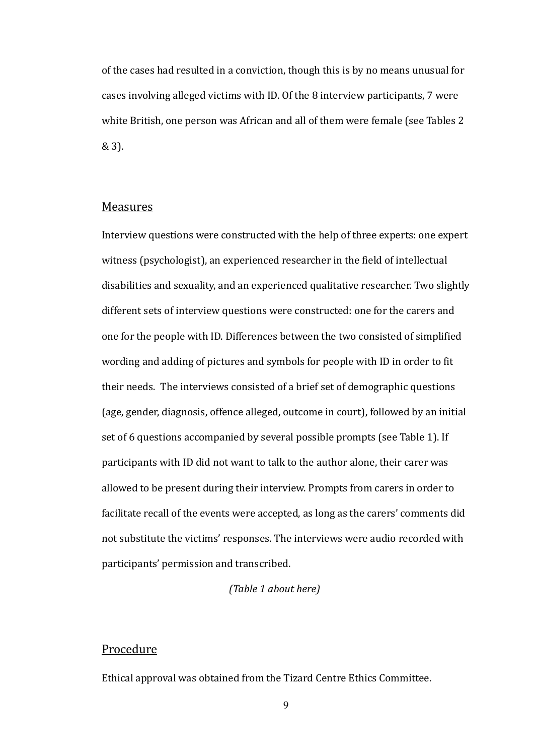of the cases had resulted in a conviction, though this is by no means unusual for cases involving alleged victims with ID. Of the 8 interview participants, 7 were white British, one person was African and all of them were female (see Tables 2 & 3).

#### **Measures**

Interview questions were constructed with the help of three experts: one expert witness (psychologist), an experienced researcher in the field of intellectual disabilities and sexuality, and an experienced qualitative researcher. Two slightly different sets of interview questions were constructed: one for the carers and one for the people with ID. Differences between the two consisted of simplified wording and adding of pictures and symbols for people with ID in order to fit their needs. The interviews consisted of a brief set of demographic questions (age, gender, diagnosis, offence alleged, outcome in court), followed by an initial set of 6 questions accompanied by several possible prompts (see Table 1). If participants with ID did not want to talk to the author alone, their carer was allowed to be present during their interview. Prompts from carers in order to facilitate recall of the events were accepted, as long as the carers' comments did not substitute the victims' responses. The interviews were audio recorded with participants' permission and transcribed.

#### (Table 1 about here)

#### Procedure

Ethical approval was obtained from the Tizard Centre Ethics Committee.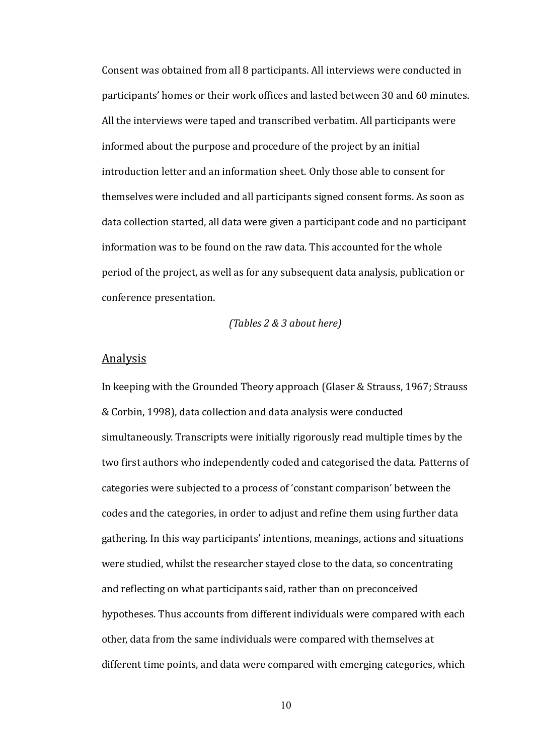Consent was obtained from all 8 participants. All interviews were conducted in participants' homes or their work offices and lasted between 30 and 60 minutes. All the interviews were taped and transcribed verbatim. All participants were informed about the purpose and procedure of the project by an initial introduction letter and an information sheet. Only those able to consent for themselves were included and all participants signed consent forms. As soon as data collection started, all data were given a participant code and no participant information was to be found on the raw data. This accounted for the whole period of the project, as well as for any subsequent data analysis, publication or conference presentation.

#### *(Tables 2 & 3 about here)*

#### Analysis

In keeping with the Grounded Theory approach (Glaser & Strauss, 1967; Strauss & Corbin, 1998), data collection and data analysis were conducted simultaneously. Transcripts were initially rigorously read multiple times by the two first authors who independently coded and categorised the data. Patterns of categories were subjected to a process of 'constant comparison' between the codes and the categories, in order to adjust and refine them using further data gathering. In this way participants' intentions, meanings, actions and situations were studied, whilst the researcher stayed close to the data, so concentrating and reflecting on what participants said, rather than on preconceived hypotheses. Thus accounts from different individuals were compared with each other, data from the same individuals were compared with themselves at different time points, and data were compared with emerging categories, which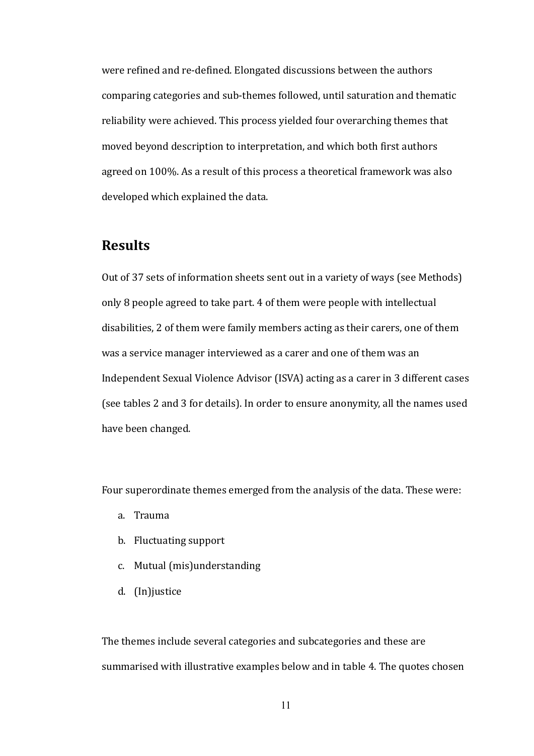were refined and re-defined. Elongated discussions between the authors comparing categories and sub-themes followed, until saturation and thematic reliability were achieved. This process yielded four overarching themes that moved beyond description to interpretation, and which both first authors agreed on 100%. As a result of this process a theoretical framework was also developed which explained the data.

#### **Results**

Out of 37 sets of information sheets sent out in a variety of ways (see Methods) only 8 people agreed to take part. 4 of them were people with intellectual disabilities, 2 of them were family members acting as their carers, one of them was a service manager interviewed as a carer and one of them was an Independent Sexual Violence Advisor (ISVA) acting as a carer in 3 different cases (see tables 2 and 3 for details). In order to ensure anonymity, all the names used have been changed.

Four superordinate themes emerged from the analysis of the data. These were:

- a. Trauma
- b. Fluctuating support
- c. Mutual (mis)understanding
- d. (In) justice

The themes include several categories and subcategories and these are summarised with illustrative examples below and in table 4. The quotes chosen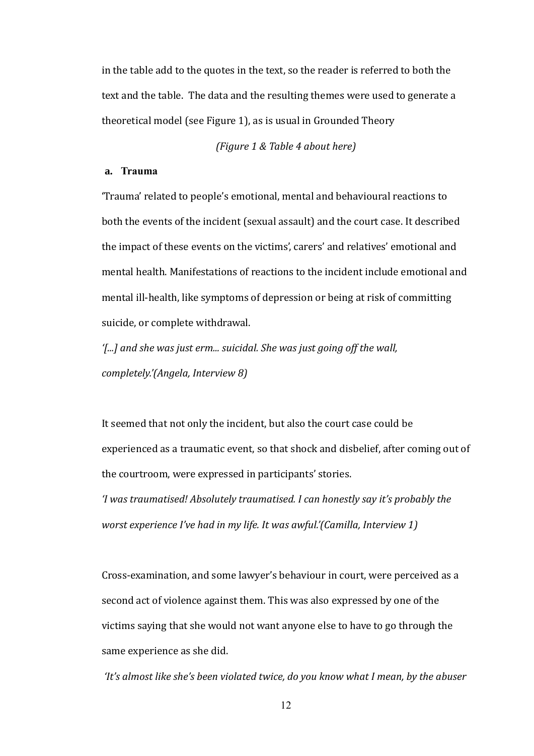in the table add to the quotes in the text, so the reader is referred to both the text and the table. The data and the resulting themes were used to generate a theoretical model (see Figure 1), as is usual in Grounded Theory

(Figure 1 & Table 4 about here)

#### a. Trauma

'Trauma' related to people's emotional, mental and behavioural reactions to both the events of the incident (sexual assault) and the court case. It described the impact of these events on the victims', carers' and relatives' emotional and mental health. Manifestations of reactions to the incident include emotional and mental ill-health, like symptoms of depression or being at risk of committing suicide, or complete withdrawal.

'[...] and she was just erm... suicidal. She was just going off the wall, completely.'(Angela, Interview 8)

It seemed that not only the incident, but also the court case could be experienced as a traumatic event, so that shock and disbelief, after coming out of the courtroom, were expressed in participants' stories.

'I was traumatised! Absolutely traumatised. I can honestly say it's probably the worst experience I've had in my life. It was awful.'(Camilla, Interview 1)

Cross-examination, and some lawyer's behaviour in court, were perceived as a second act of violence against them. This was also expressed by one of the victims saying that she would not want anyone else to have to go through the same experience as she did.

'It's almost like she's been violated twice, do you know what I mean, by the abuser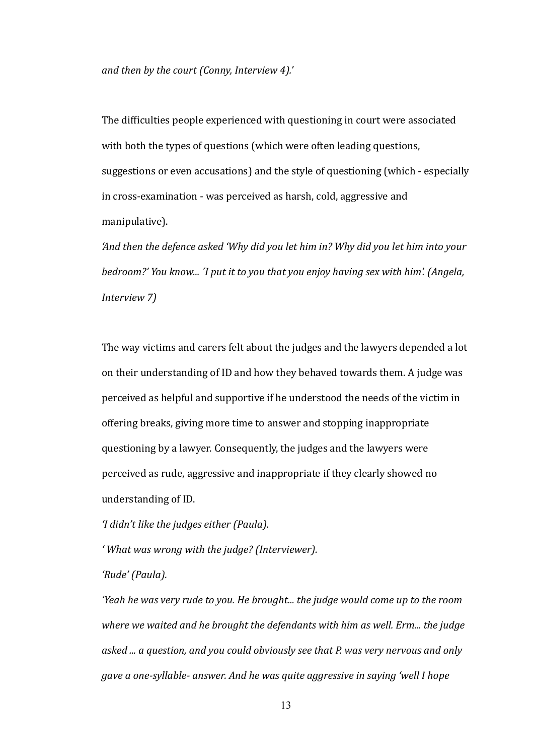*and then by the court (Conny, Interview 4).'* 

The difficulties people experienced with questioning in court were associated with both the types of questions (which were often leading questions, suggestions or even accusations) and the style of questioning (which - especially in cross-examination - was perceived as harsh, cold, aggressive and manipulative).

*╅And then the defence asked ╅Why did you let him in╂ Why did you let him into your bedroom?' You know... 'I put it to you that you enjoy having sex with him'. (Angela. lnterview 7)* 

The way victims and carers felt about the judges and the lawyers depended a lot on their understanding of ID and how they behaved towards them. A judge was perceived as helpful and supportive if he understood the needs of the victim in offering breaks, giving more time to answer and stopping inappropriate questioning by a lawyer. Consequently, the judges and the lawyers were perceived as rude, aggressive and inappropriate if they clearly showed no understanding of ID.

*'I didn't like the judges either (Paula).* 

*'* What was wrong with the judge? (Interviewer).

'Rude' (Paula).

*Yeah he was very rude to you. He brought... the judge would come up to the room where we waited and he brought the defendants with him as well. Erm... the judge* asked ... a question, and you could obviously see that P. was very nervous and only *gave a one-syllable- answer. And he was quite aggressive in saying 'well I hope*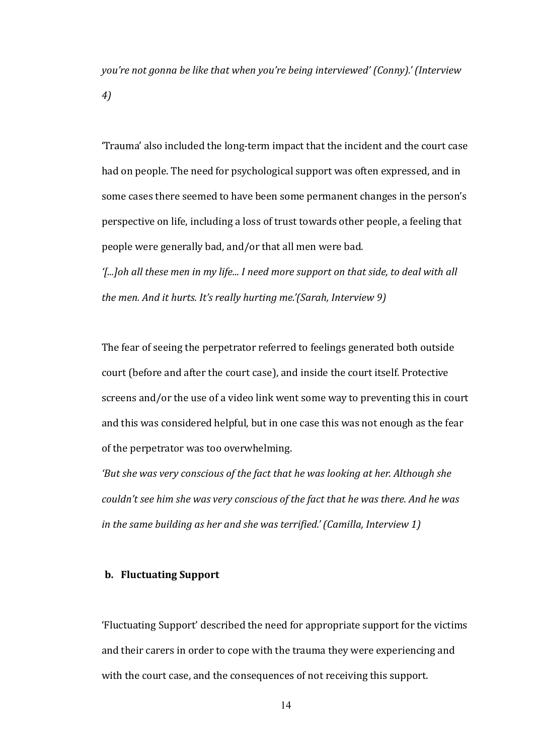*you're not gonna be like that when you're being interviewed' (Conny).' (Interview ぱょ*

"Trauma' also included the long-term impact that the incident and the court case had on people. The need for psychological support was often expressed, and in some cases there seemed to have been some permanent changes in the person's perspective on life, including a loss of trust towards other people, a feeling that people were generally bad, and/or that all men were bad.

*'f...Ioh all these men in my life... I need more support on that side, to deal with all the men. And it hurts. It's really hurting me.'(Sarah, Interview 9)* 

The fear of seeing the perpetrator referred to feelings generated both outside court (before and after the court case), and inside the court itself. Protective screens and/or the use of a video link went some way to preventing this in court and this was considered helpful, but in one case this was not enough as the fear of the perpetrator was too overwhelming.

*f* But she was very conscious of the fact that he was looking at her. Although she *couldn't see him she was very conscious of the fact that he was there. And he was in the same building as her and she was terrified.' (Camilla, Interview 1)* 

#### **b. Fluctuating Support**

'Fluctuating Support' described the need for appropriate support for the victims and their carers in order to cope with the trauma they were experiencing and with the court case, and the consequences of not receiving this support.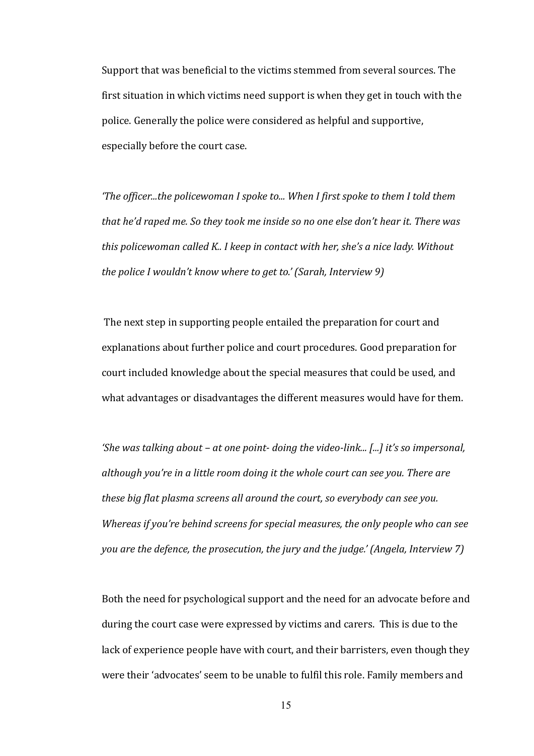Support that was beneficial to the victims stemmed from several sources. The first situation in which victims need support is when they get in touch with the police. Generally the police were considered as helpful and supportive. especially before the court case.

*f* the officer...the policewoman I spoke to ... When I first spoke to them I told them  $\overline{I}$ *that he'd raped me. So they took me inside so no one else don't hear it. There was this policewoman called K.. I keep in contact with her, she's a nice lady. Without the police I wouldn't know where to get to.' (Sarah, Interview 9)* 

 The next step in supporting people entailed the preparation for court and explanations about further police and court procedures. Good preparation for court included knowledge about the special measures that could be used, and what advantages or disadvantages the different measures would have for them.

*for was talking about – at one point-doing the video-link... [...] it's so impersonal,* although you're in a little room doing it the whole court can see you. There are *these big flat plasma screens all around the court, so everybody can see you. Whereas if you're behind screens for special measures, the only people who can see you are the defence, the prosecution, the jury and the judge.' (Angela, Interview 7)* 

Both the need for psychological support and the need for an advocate before and during the court case were expressed by victims and carers. This is due to the lack of experience people have with court, and their barristers, even though they were their 'advocates' seem to be unable to fulfil this role. Family members and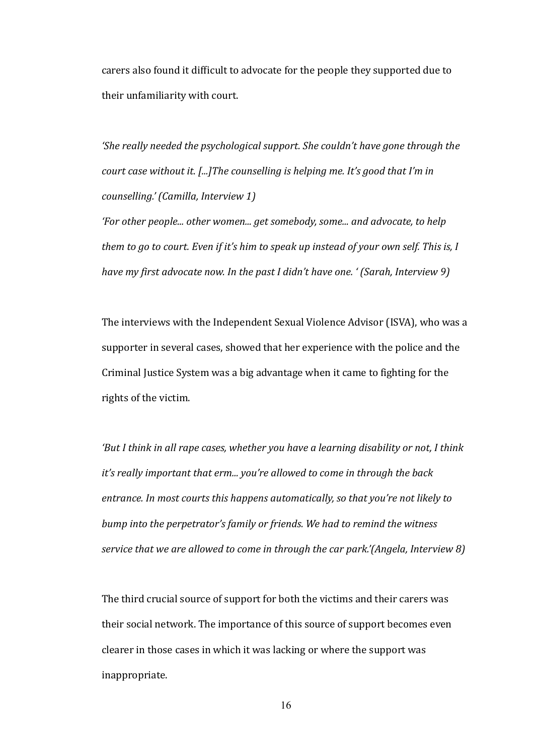carers also found it difficult to advocate for the people they supported due to their unfamiliarity with court.

*the really needed the psychological support. She couldn't have gone through the court case without it. [...] The counselling is helping me. It's good that I'm in counselling.' (Camilla, Interview 1)* 

*for other people... other women... get somebody, some... and advocate, to help them to go to court. Even if it's him to speak up instead of your own self. This is, I have my first advocate now. In the past I didn't have one. ' (Sarah. Interview 9)* 

The interviews with the Independent Sexual Violence Advisor (ISVA), who was a supporter in several cases, showed that her experience with the police and the Criminal Justice System was a big advantage when it came to fighting for the rights of the victim.

*f* But I think in all rape cases, whether you have a learning disability or not, I think *it's really important that erm... you're allowed to come in through the back* entrance. In most courts this happens automatically, so that you're not likely to *bump into the perpetrator's family or friends. We had to remind the witness service that we are allowed to come in through the car park'*(Angela, Interview 8)

The third crucial source of support for both the victims and their carers was their social network. The importance of this source of support becomes even clearer in those cases in which it was lacking or where the support was inappropriate.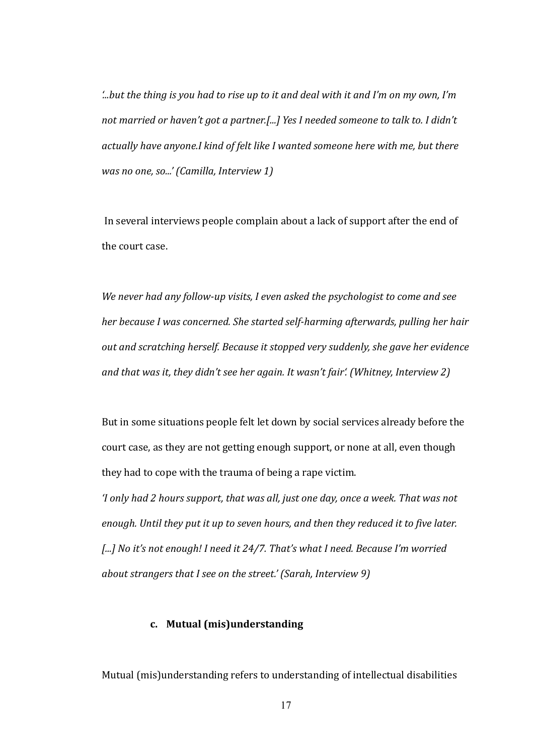$\hat{h}$  *but the thing is you had to rise up to it and deal with it and I'm on my own, I'm not married or haven't got a partner.[...] Yes I needed someone to talk to. I didn't actually have anyone.I kind of felt like I wanted someone here with me, but there was no one, so...'* (*Camilla, Interview 1*)

In several interviews people complain about a lack of support after the end of the court case.

*We never had any follow-up visits, I even asked the psychologist to come and see her because I was concerned. She started self-harming afterwards, pulling her hair* out and scratching herself. Because it stopped very suddenly, she gave her evidence *and that was it, they didn't see her again. It wasn't fair'. (Whitney, Interview 2)* 

But in some situations people felt let down by social services already before the court case, as they are not getting enough support, or none at all, even though they had to cope with the trauma of being a rape victim.

*'I only had 2 hours support, that was all, just one day, once a week. That was not enough. Until they put it up to seven hours, and then they reduced it to five later. [...]* No it's not enough! I need it 24/7. That's what I need. Because I'm worried *about strangers that I see on the street.' (Sarah, Interview 9)* 

#### c. Mutual (mis)understanding

Mutual (mis)understanding refers to understanding of intellectual disabilities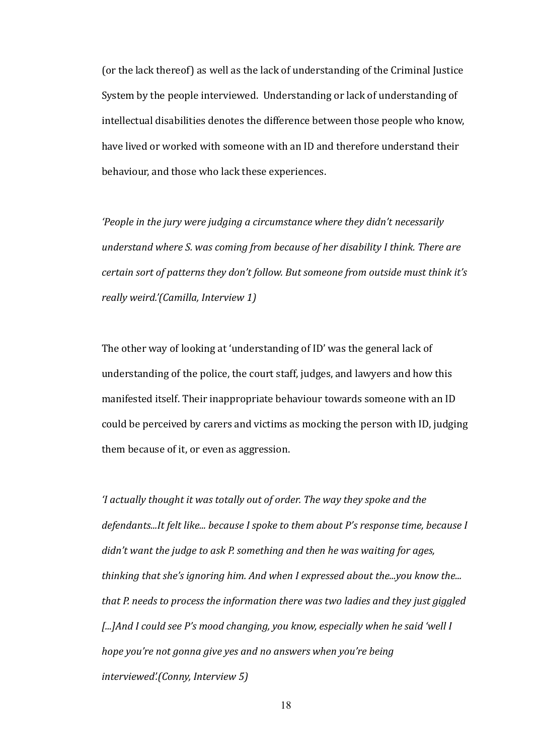(or the lack thereof) as well as the lack of understanding of the Criminal Justice System by the people interviewed. Understanding or lack of understanding of intellectual disabilities denotes the difference between those people who know, have lived or worked with someone with an ID and therefore understand their behaviour, and those who lack these experiences.

'People in the jury were judging a circumstance where they didn't necessarily understand where S. was coming from because of her disability I think. There are certain sort of patterns they don't follow. But someone from outside must think it's really weird.'(Camilla, Interview 1)

The other way of looking at 'understanding of ID' was the general lack of understanding of the police, the court staff, judges, and lawyers and how this manifested itself. Their inappropriate behaviour towards someone with an ID could be perceived by carers and victims as mocking the person with ID, judging them because of it, or even as aggression.

'I actually thought it was totally out of order. The way they spoke and the defendants...It felt like... because I spoke to them about P's response time, because I didn't want the judge to ask P. something and then he was waiting for ages, thinking that she's ignoring him. And when I expressed about the...you know the... that P. needs to process the information there was two ladies and they just giggled [...] And I could see P's mood changing, you know, especially when he said 'well I hope you're not gonna give yes and no answers when you're being interviewed'.(Conny, Interview 5)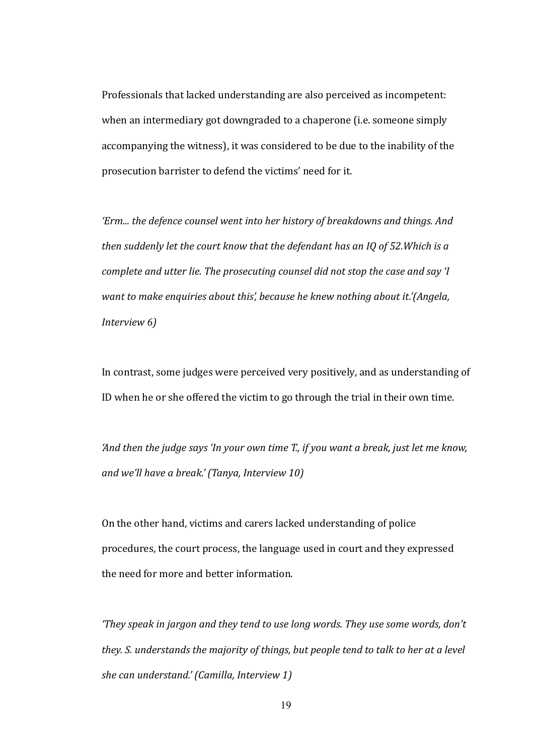Professionals that lacked understanding are also perceived as incompetent: when an intermediary got downgraded to a chaperone (i.e. someone simply accompanying the witness), it was considered to be due to the inability of the prosecution barrister to defend the victims' need for it.

*'Erm... the defence counsel went into her history of breakdowns and things. And then suddenly let the court know that the defendant has an IQ of 52. Which is a complete and utter lie. The prosecuting counsel did not stop the case and say 'I want to make enquiries about this', because he knew nothing about it.'(Angela, lnterview 6)* 

In contrast, some judges were perceived very positively, and as understanding of ID when he or she offered the victim to go through the trial in their own time.

*And then the judge says 'In your own time T., if you want a break, just let me know, and we'll have a break.' (Tanya, Interview 10)* 

On the other hand, victims and carers lacked understanding of police procedures, the court process, the language used in court and they expressed the need for more and better information.

*f* they speak in jargon and they tend to use long words. They use some words, don't *they. S. understands the majority of things, but people tend to talk to her at a level she can understand.' (Camilla, Interview 1)*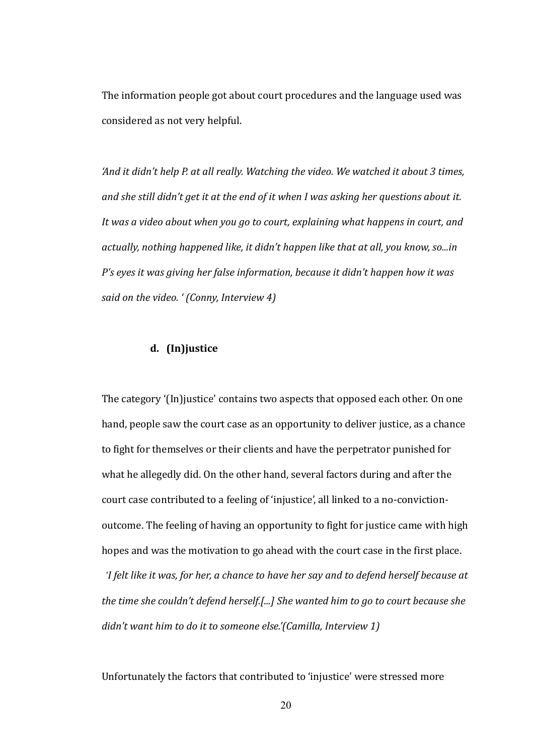The information people got about court procedures and the language used was considered as not very helpful.

*'And it didn't help P. at all really. Watching the video. We watched it about 3 times, and she still didn't get it at the end of it when I was asking her questions about it. It was a video about when you go to court, explaining what happens in court, and actually, nothing happened like, it didn't happen like that at all, you know, so...in P*'s eyes it was giving her false information, because it didn't happen how it was *said on the video. ' (Conny, Interview 4)* 

#### **d.** (In)justice

The category '(In)justice' contains two aspects that opposed each other. On one hand, people saw the court case as an opportunity to deliver justice, as a chance to fight for themselves or their clients and have the perpetrator punished for what he allegedly did. On the other hand, several factors during and after the court case contributed to a feeling of 'injustice', all linked to a no-convictionoutcome. The feeling of having an opportunity to fight for justice came with high hopes and was the motivation to go ahead with the court case in the first place. *'I felt like it was, for her, a chance to have her say and to defend herself because at the time she couldn't defend herself.[...] She wanted him to go to court because she didn't want him to do it to someone else.'(Camilla, Interview 1)* 

Unfortunately the factors that contributed to 'injustice' were stressed more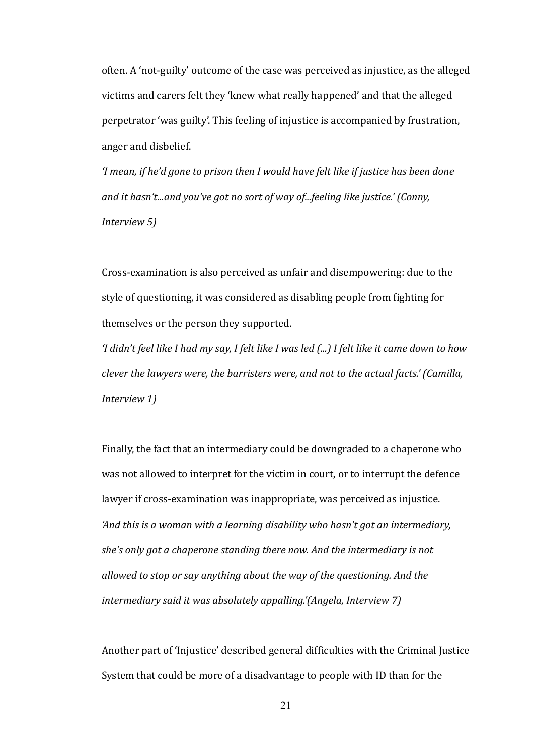often. A 'not-guilty' outcome of the case was perceived as injustice, as the alleged victims and carers felt they 'knew what really happened' and that the alleged perpetrator 'was guilty'. This feeling of injustice is accompanied by frustration, anger and disbelief.

*'I mean, if he'd gone to prison then I would have felt like if justice has been done* and it hasn't...and you've got no sort of way of...feeling like justice.' (Conny, *lnterview 5)* 

Cross-examination is also perceived as unfair and disempowering: due to the style of questioning, it was considered as disabling people from fighting for themselves or the person they supported.

'I didn't feel like I had my say, I felt like I was led (...) I felt like it came down to how *clever the lawyers were, the barristers were, and not to the actual facts.' (Camilla, lnterview 1)* 

Finally, the fact that an intermediary could be downgraded to a chaperone who was not allowed to interpret for the victim in court, or to interrupt the defence lawyer if cross-examination was inappropriate, was perceived as injustice. *And this is a woman with a learning disability who hasn't got an intermediary, she's only got a chaperone standing there now. And the intermediary is not* allowed to stop or say anything about the way of the questioning. And the *intermediary said it was absolutely appalling.'(Angela, Interview 7)* 

Another part of 'Injustice' described general difficulties with the Criminal Justice System that could be more of a disadvantage to people with ID than for the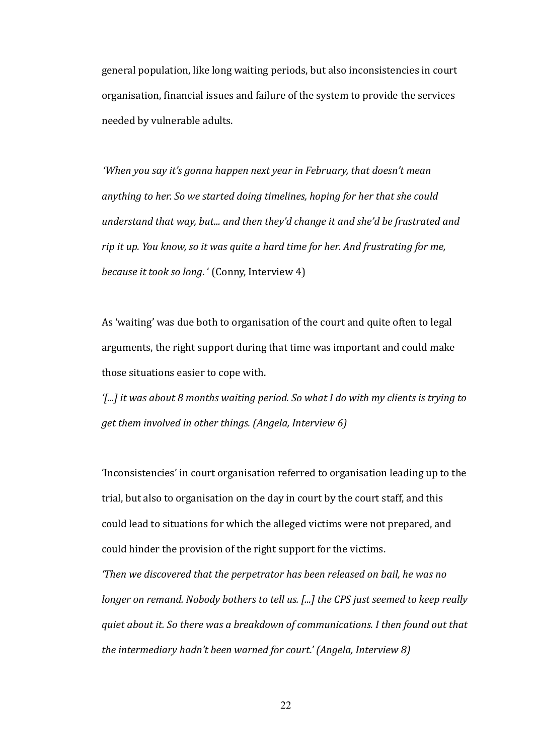general population, like long waiting periods, but also inconsistencies in court organisation, financial issues and failure of the system to provide the services needed by vulnerable adults.

*'When you say it's gonna happen next year in February, that doesn't mean anything to her. So we started doing timelines, hoping for her that she could understand that way, but... and then they'd change it and she'd be frustrated and rip it up. You know, so it was quite a hard time for her. And frustrating for me, because it took so long.* ' (Conny, Interview 4)

As 'waiting' was due both to organisation of the court and quite often to legal arguments, the right support during that time was important and could make those situations easier to cope with.

*f...]* it was about 8 months waiting period. So what I do with my clients is trying to *get them involved in other things. (Angela, Interview 6)* 

'Inconsistencies' in court organisation referred to organisation leading up to the trial, but also to organisation on the day in court by the court staff, and this could lead to situations for which the alleged victims were not prepared, and could hinder the provision of the right support for the victims.

*f* Then we discovered that the perpetrator has been released on bail, he was no *longer on remand. Nobody bothers to tell us. [...] the CPS just seemed to keep really duiet about it. So there was a breakdown of communications. I then found out that the intermediary hadn't been warned for court.' (Angela, Interview 8)*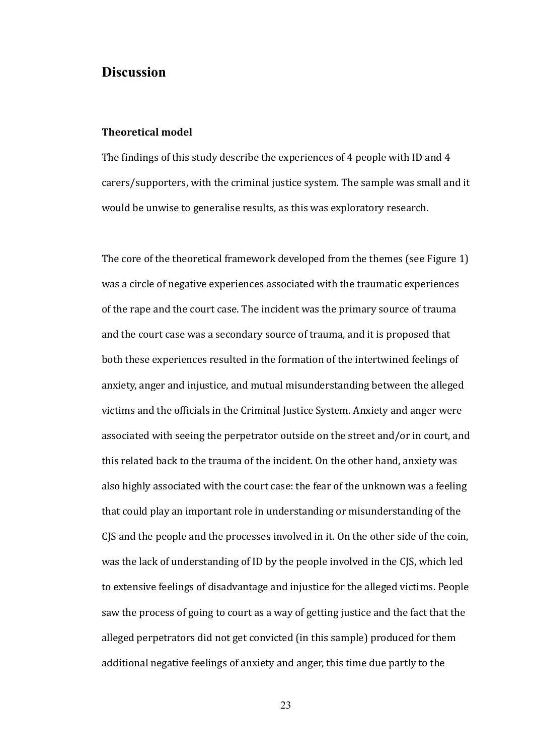#### **Discussion**

#### **Theoretical model**

The findings of this study describe the experiences of 4 people with ID and 4 carers/supporters, with the criminal justice system. The sample was small and it would be unwise to generalise results, as this was exploratory research.

The core of the theoretical framework developed from the themes (see Figure 1) was a circle of negative experiences associated with the traumatic experiences of the rape and the court case. The incident was the primary source of trauma and the court case was a secondary source of trauma, and it is proposed that both these experiences resulted in the formation of the intertwined feelings of anxiety, anger and injustice, and mutual misunderstanding between the alleged victims and the officials in the Criminal Justice System. Anxiety and anger were associated with seeing the perpetrator outside on the street and/or in court, and this related back to the trauma of the incident. On the other hand, anxiety was also highly associated with the court case: the fear of the unknown was a feeling that could play an important role in understanding or misunderstanding of the CJS and the people and the processes involved in it. On the other side of the coin. was the lack of understanding of ID by the people involved in the CJS, which led to extensive feelings of disadvantage and injustice for the alleged victims. People saw the process of going to court as a way of getting justice and the fact that the alleged perpetrators did not get convicted (in this sample) produced for them additional negative feelings of anxiety and anger, this time due partly to the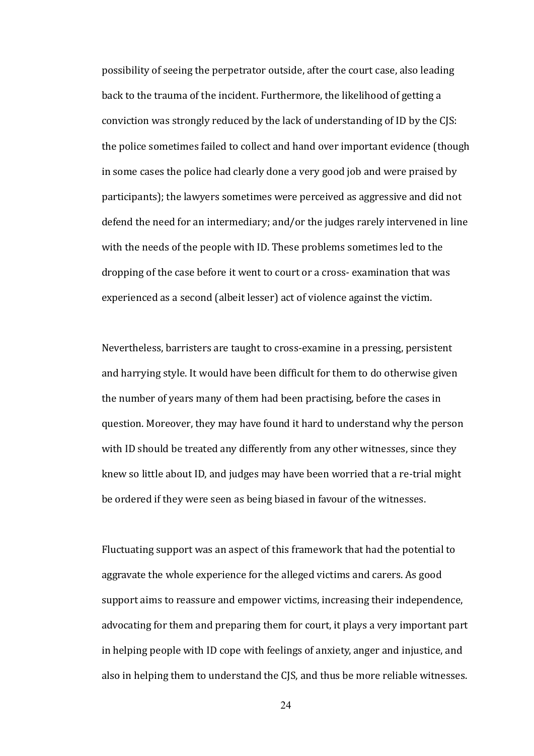possibility of seeing the perpetrator outside, after the court case, also leading back to the trauma of the incident. Furthermore, the likelihood of getting a conviction was strongly reduced by the lack of understanding of ID by the CJS: the police sometimes failed to collect and hand over important evidence (though in some cases the police had clearly done a very good job and were praised by participants); the lawyers sometimes were perceived as aggressive and did not defend the need for an intermediary; and/or the judges rarely intervened in line with the needs of the people with ID. These problems sometimes led to the dropping of the case before it went to court or a cross- examination that was experienced as a second (albeit lesser) act of violence against the victim.

Nevertheless, barristers are taught to cross-examine in a pressing, persistent and harrying style. It would have been difficult for them to do otherwise given the number of years many of them had been practising, before the cases in question. Moreover, they may have found it hard to understand why the person with ID should be treated any differently from any other witnesses, since they knew so little about ID, and judges may have been worried that a re-trial might be ordered if they were seen as being biased in favour of the witnesses.

Fluctuating support was an aspect of this framework that had the potential to aggravate the whole experience for the alleged victims and carers. As good support aims to reassure and empower victims, increasing their independence, advocating for them and preparing them for court, it plays a very important part in helping people with ID cope with feelings of anxiety, anger and injustice, and also in helping them to understand the CJS, and thus be more reliable witnesses.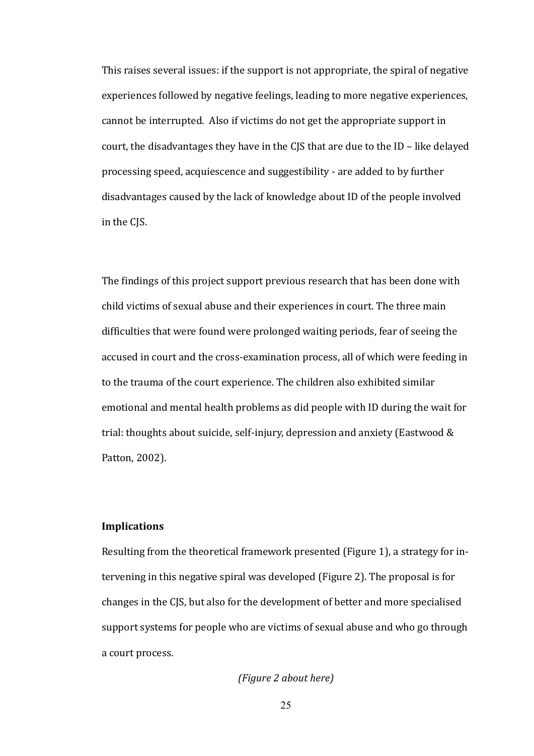This raises several issues: if the support is not appropriate, the spiral of negative experiences followed by negative feelings, leading to more negative experiences, cannot be interrupted. Also if victims do not get the appropriate support in court, the disadvantages they have in the CJS that are due to the ID – like delayed processing speed, acquiescence and suggestibility - are added to by further disadvantages caused by the lack of knowledge about ID of the people involved in the CIS.

The findings of this project support previous research that has been done with child victims of sexual abuse and their experiences in court. The three main difficulties that were found were prolonged waiting periods, fear of seeing the accused in court and the cross-examination process, all of which were feeding in to the trauma of the court experience. The children also exhibited similar emotional and mental health problems as did people with ID during the wait for trial: thoughts about suicide, self-injury, depression and anxiety (Eastwood  $&$ Patton, 2002).

#### **)mplications**

Resulting from the theoretical framework presented (Figure 1), a strategy for intervening in this negative spiral was developed (Figure 2). The proposal is for changes in the CJS, but also for the development of better and more specialised support systems for people who are victims of sexual abuse and who go through a court process.

*(Figure 2 about here)*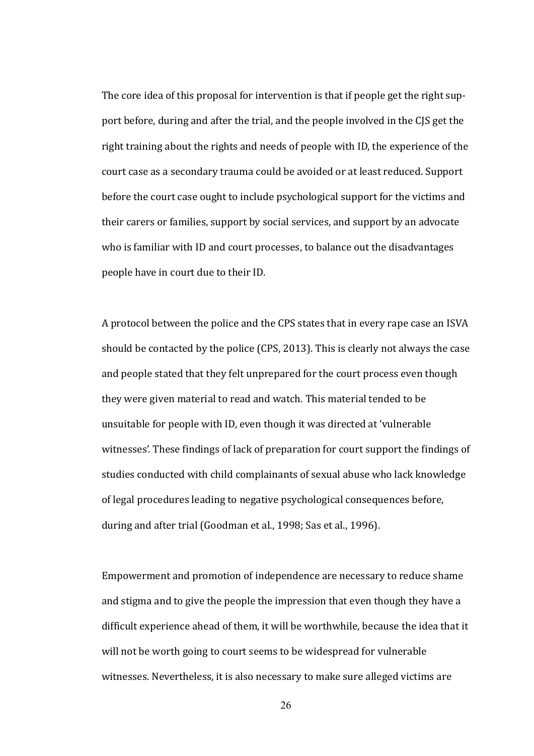The core idea of this proposal for intervention is that if people get the right support before, during and after the trial, and the people involved in the CJS get the right training about the rights and needs of people with ID, the experience of the court case as a secondary trauma could be avoided or at least reduced. Support before the court case ought to include psychological support for the victims and their carers or families, support by social services, and support by an advocate who is familiar with ID and court processes, to balance out the disadvantages people have in court due to their ID.

A protocol between the police and the CPS states that in every rape case an ISVA should be contacted by the police (CPS, 2013). This is clearly not always the case and people stated that they felt unprepared for the court process even though they were given material to read and watch. This material tended to be unsuitable for people with ID, even though it was directed at 'vulnerable witnesses'. These findings of lack of preparation for court support the findings of studies conducted with child complainants of sexual abuse who lack knowledge of legal procedures leading to negative psychological consequences before, during and after trial (Goodman et al., 1998; Sas et al., 1996).

Empowerment and promotion of independence are necessary to reduce shame and stigma and to give the people the impression that even though they have a difficult experience ahead of them, it will be worthwhile, because the idea that it will not be worth going to court seems to be widespread for vulnerable witnesses. Nevertheless, it is also necessary to make sure alleged victims are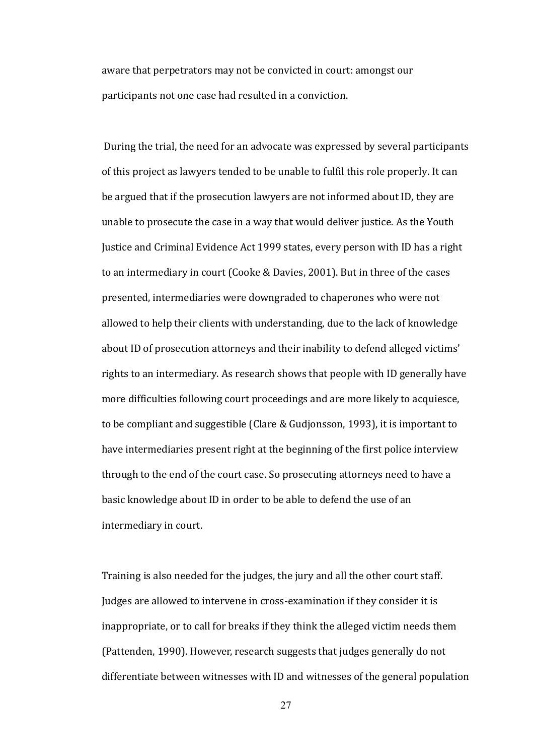aware that perpetrators may not be convicted in court: amongst our participants not one case had resulted in a conviction.

 During the trial, the need for an advocate was expressed by several participants of this project as lawyers tended to be unable to fulfil this role properly. It can be argued that if the prosecution lawyers are not informed about ID, they are unable to prosecute the case in a way that would deliver justice. As the Youth Justice and Criminal Evidence Act 1999 states, every person with ID has a right to an intermediary in court (Cooke & Davies, 2001). But in three of the cases presented, intermediaries were downgraded to chaperones who were not allowed to help their clients with understanding, due to the lack of knowledge about ID of prosecution attorneys and their inability to defend alleged victims' rights to an intermediary. As research shows that people with ID generally have more difficulties following court proceedings and are more likely to acquiesce, to be compliant and suggestible (Clare & Gudjonsson, 1993), it is important to have intermediaries present right at the beginning of the first police interview through to the end of the court case. So prosecuting attorneys need to have a basic knowledge about ID in order to be able to defend the use of an intermediary in court.

Training is also needed for the judges, the jury and all the other court staff. Judges are allowed to intervene in cross-examination if they consider it is inappropriate, or to call for breaks if they think the alleged victim needs them (Pattenden, 1990). However, research suggests that judges generally do not differentiate between witnesses with ID and witnesses of the general population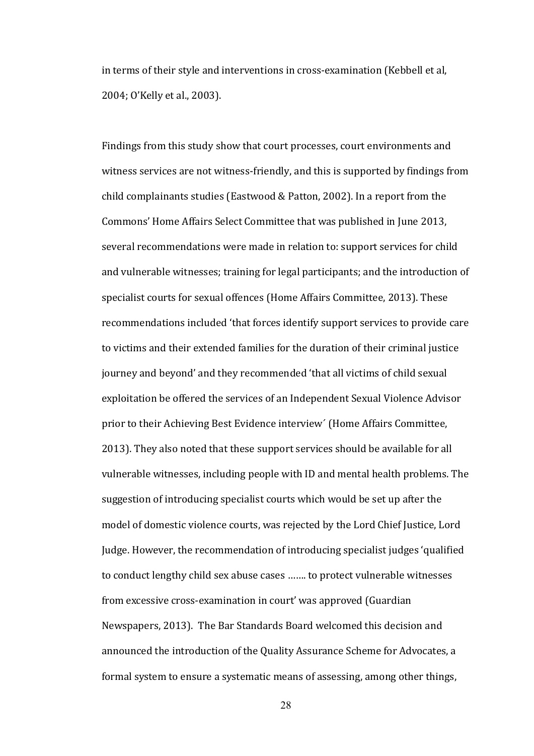in terms of their style and interventions in cross-examination (Kebbell et al. 2004: O'Kelly et al., 2003).

Findings from this study show that court processes, court environments and witness services are not witness-friendly, and this is supported by findings from child complainants studies (Eastwood & Patton, 2002). In a report from the Commons' Home Affairs Select Committee that was published in June 2013, several recommendations were made in relation to: support services for child and vulnerable witnesses; training for legal participants; and the introduction of specialist courts for sexual offences (Home Affairs Committee, 2013). These recommendations included 'that forces identify support services to provide care to victims and their extended families for the duration of their criminal justice journey and beyond' and they recommended 'that all victims of child sexual exploitation be offered the services of an Independent Sexual Violence Advisor prior to their Achieving Best Evidence interview' (Home Affairs Committee, 2013). They also noted that these support services should be available for all vulnerable witnesses, including people with ID and mental health problems. The suggestion of introducing specialist courts which would be set up after the model of domestic violence courts, was rejected by the Lord Chief Justice, Lord Judge. However, the recommendation of introducing specialist judges 'qualified to conduct lengthy child sex abuse cases ....... to protect vulnerable witnesses from excessive cross-examination in court' was approved (Guardian Newspapers, 2013). The Bar Standards Board welcomed this decision and announced the introduction of the Quality Assurance Scheme for Advocates, a formal system to ensure a systematic means of assessing, among other things,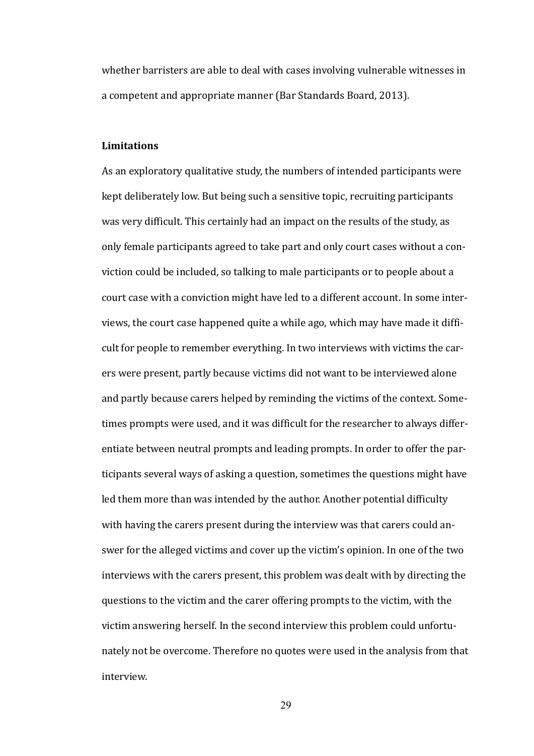whether barristers are able to deal with cases involving vulnerable witnesses in a competent and appropriate manner (Bar Standards Board, 2013).

#### **Limitations**

As an exploratory qualitative study, the numbers of intended participants were kept deliberately low. But being such a sensitive topic, recruiting participants was very difficult. This certainly had an impact on the results of the study, as only female participants agreed to take part and only court cases without a conviction could be included, so talking to male participants or to people about a court case with a conviction might have led to a different account. In some interviews, the court case happened quite a while ago, which may have made it difficult for people to remember everything. In two interviews with victims the carers were present, partly because victims did not want to be interviewed alone and partly because carers helped by reminding the victims of the context. Sometimes prompts were used, and it was difficult for the researcher to always differentiate between neutral prompts and leading prompts. In order to offer the participants several ways of asking a question, sometimes the questions might have led them more than was intended by the author. Another potential difficulty with having the carers present during the interview was that carers could answer for the alleged victims and cover up the victim's opinion. In one of the two interviews with the carers present, this problem was dealt with by directing the questions to the victim and the carer offering prompts to the victim, with the victim answering herself. In the second interview this problem could unfortunately not be overcome. Therefore no quotes were used in the analysis from that interview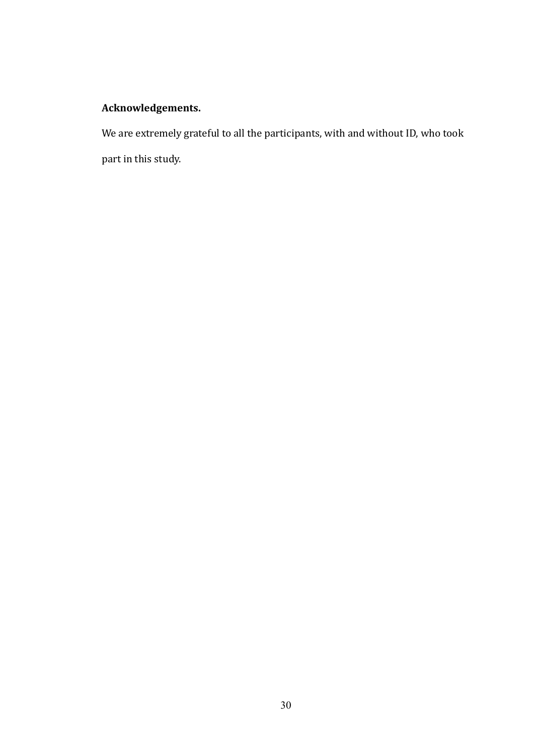#### Acknowledgements.

We are extremely grateful to all the participants, with and without ID, who took part in this study.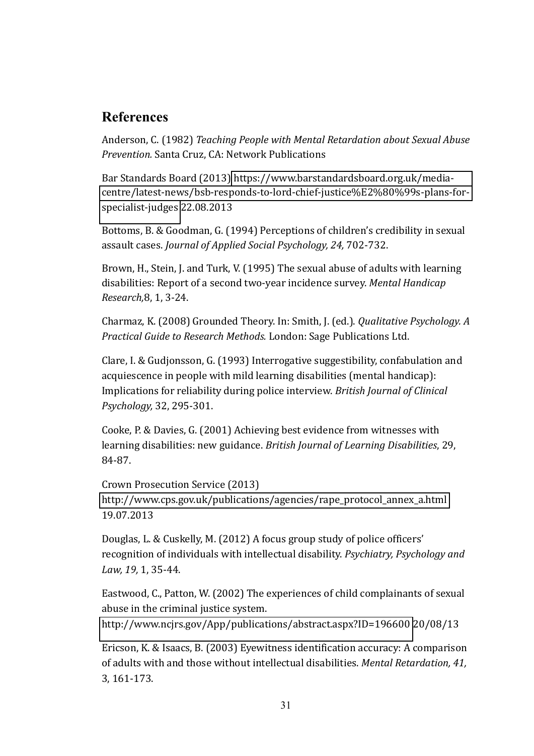### **References**

Anderson, C. (1982) *Teaching People with Mental Retardation about Sexual Abuse Prevention.* Santa Cruz, CA: Network Publications

Bar Standards Board (2013) https://www.barstandardsboard.org.uk/mediacentre/latest-news/bsb-responds-to-lord-chief-justice%E2%80%99s-plans-forspecialist-judges 22.08.2013

Bottoms, B. & Goodman, G. (1994) Perceptions of children's credibility in sexual assault cases. *Journal of Applied Social Psychology*, 24, 702-732.

Brown, H., Stein, J. and Turk, V. (1995) The sexual abuse of adults with learning disabilities: Report of a second two-year incidence survey. Mental Handicap *Research*, 8, 1, 3-24.

Charmaz, K. (2008) Grounded Theory. In: Smith, J. (ed.). *Qualitative Psychology. A Practical Guide to Research Methods. London: Sage Publications Ltd.* 

Clare, I. & Gudjonsson, G. (1993) Interrogative suggestibility, confabulation and acquiescence in people with mild learning disabilities (mental handicap): Implications for reliability during police interview. *British Journal of Clinical Psychology*, 32, 295-301.

Cooke, P. & Davies, G. (2001) Achieving best evidence from witnesses with learning disabilities: new guidance. British Journal of Learning Disabilities, 29, 84-87.

Crown Prosecution Service (2013) http://www.cps.gov.uk/publications/agencies/rape\_protocol\_annex\_a.html 19.07.2013

Douglas, L. & Cuskelly, M. (2012) A focus group study of police officers' recognition of individuals with intellectual disability. Psychiatry, Psychology and Law, 19, 1, 35-44.

Eastwood, C., Patton, W. (2002) The experiences of child complainants of sexual abuse in the criminal justice system.

http://www.ncjrs.gov/App/publications/abstract.aspx?ID=196600 20/08/13

Ericson, K. & Isaacs, B. (2003) Eyewitness identification accuracy: A comparison of adults with and those without intellectual disabilities. *Mental Retardation*, 41.  $3, 161 - 173.$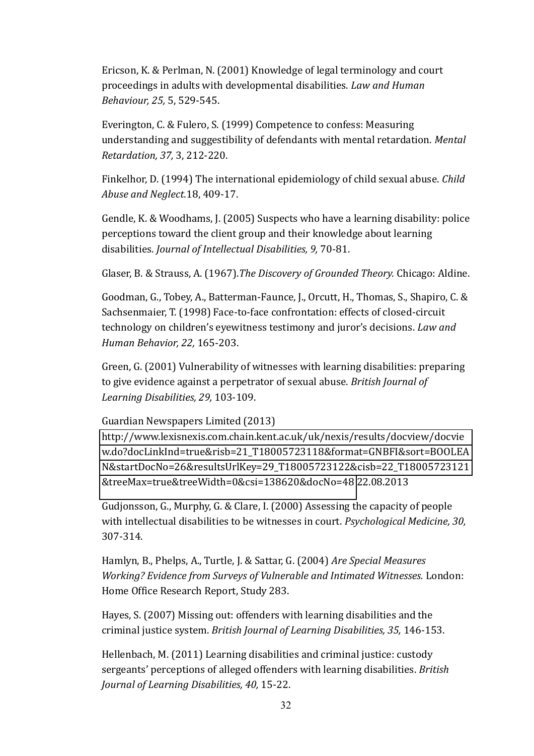Ericson, K. & Perlman, N. (2001) Knowledge of legal terminology and court proceedings in adults with developmental disabilities. Law and Human *Behaviour, 25, 5, 529-545.* 

Everington, C. & Fulero, S. (1999) Competence to confess: Measuring understanding and suggestibility of defendants with mental retardation. Mental *Retardation, 37, 3, 212-220.* 

Finkelhor, D. (1994) The international epidemiology of child sexual abuse. *Child Abuse and Neglect.* 18, 409-17.

Gendle, K. & Woodhams, J. (2005) Suspects who have a learning disability: police perceptions toward the client group and their knowledge about learning disabilities. *Journal of Intellectual Disabilities*, 9, 70-81.

Glaser, B. & Strauss, A. (1967). The Discovery of Grounded Theory. Chicago: Aldine.

Goodman, G., Tobey, A., Batterman-Faunce, J., Orcutt, H., Thomas, S., Shapiro, C. & Sachsenmaier, T. (1998) Face-to-face confrontation: effects of closed-circuit technology on children's eyewitness testimony and juror's decisions. Law and *Human Behavior, 22, 165-203.* 

Green, G. (2001) Vulnerability of witnesses with learning disabilities: preparing to give evidence against a perpetrator of sexual abuse. *British Journal of* Learning Disabilities, 29, 103-109.

Guardian Newspapers Limited (2013)

http://www.lexisnexis.com.chain.kent.ac.uk/uk/nexis/results/docview/docvie w.do?docLinkInd=true&risb=21\_T18005723118&format=GNBFI&sort=BOOLEA N&startDocNo=26&resultsUrlKey=29 T18005723122&cisb=22 T18005723121 &treeMax=true&treeWidth=0&csi=138620&docNo=48 22.08.2013

Gudjonsson, G., Murphy, G. & Clare, I.  $(2000)$  Assessing the capacity of people with intellectual disabilities to be witnesses in court. *Psychological Medicine*, 30,  $307 - 314.$ 

Hamlyn, B., Phelps, A., Turtle, J. & Sattar, G. (2004) Are Special Measures *Working? Evidence from Surveys of Vulnerable and Intimated Witnesses. London:* Home Office Research Report, Study 283.

Hayes, S. (2007) Missing out: offenders with learning disabilities and the criminal justice system. *British Journal of Learning Disabilities*, 35, 146-153.

Hellenbach, M. (2011) Learning disabilities and criminal justice: custody sergeants' perceptions of alleged offenders with learning disabilities. *British Journal of Learning Disabilities, 40, 15-22.*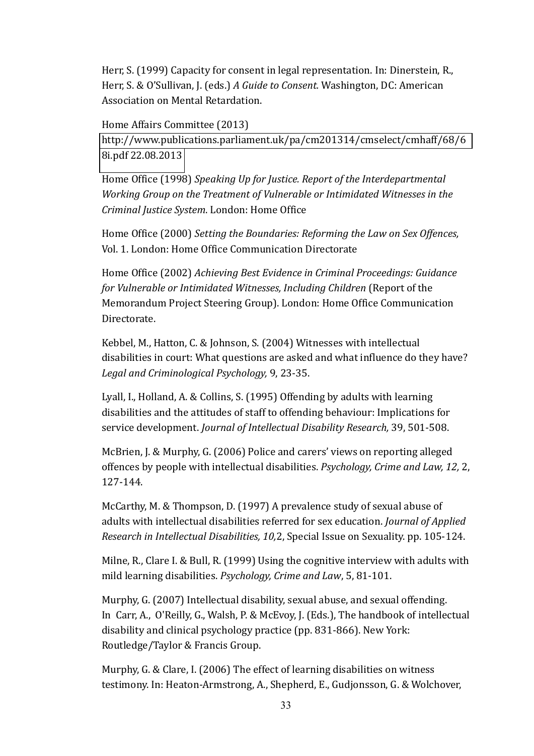Herr, S. (1999) Capacity for consent in legal representation. In: Dinerstein, R., Herr, S. & O'Sullivan, J. (eds.) A Guide to Consent. Washington, DC: American Association on Mental Retardation.

Home Affairs Committee (2013) http://www.publications.parliament.uk/pa/cm201314/cmselect/cmhaff/68/6 8i.pdf 22.08.2013

Home Office (1998) *Speaking Up for Justice. Report of the Interdepartmental Working Group on the Treatment of Vulnerable or )ntimidated Witnesses in the Criminal Justice System.* London: Home Office

Home Office (2000) Setting the Boundaries: Reforming the Law on Sex Offences, Vol. 1. London: Home Office Communication Directorate

Home Office (2002) Achieving Best Evidence in Criminal Proceedings: Guidance *for Vulnerable or Intimidated Witnesses, Including Children (Report of the* Memorandum Project Steering Group). London: Home Office Communication Directorate.

Kebbel. M., Hatton, C. & Johnson, S. (2004) Witnesses with intellectual disabilities in court: What questions are asked and what influence do they have? Legal and Criminological Psychology, 9, 23-35.

Lyall, I., Holland, A. & Collins, S. (1995) Offending by adults with learning disabilities and the attitudes of staff to offending behaviour: Implications for service development. *Journal of Intellectual Disability Research*, 39, 501-508.

McBrien, J. & Murphy, G. (2006) Police and carers' views on reporting alleged offences by people with intellectual disabilities. *Psychology, Crime and Law, 12, 2,*  $127 - 144$ 

McCarthy, M. & Thompson, D. (1997) A prevalence study of sexual abuse of adults with intellectual disabilities referred for sex education. *Journal of Applied Research in Intellectual Disabilities, 10.2.* Special Issue on Sexuality. pp. 105-124.

Milne, R., Clare I. & Bull, R. (1999) Using the cognitive interview with adults with mild learning disabilities. *Psychology, Crime and Law*, 5, 81-101.

Murphy, G. (2007) Intellectual disability, sexual abuse, and sexual offending. In Carr, A., O'Reilly, G., Walsh, P. & McEvoy, J. (Eds.), The handbook of intellectual disability and clinical psychology practice (pp. 831-866). New York: Routledge/Taylor & Francis Group.

Murphy, G. & Clare, I. (2006) The effect of learning disabilities on witness testimony. In: Heaton-Armstrong, A., Shepherd, E., Gudjonsson, G. & Wolchover,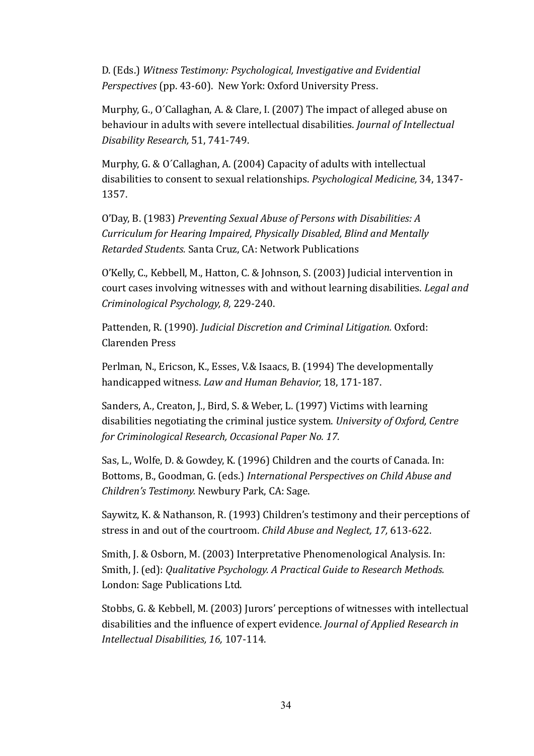D. (Eds.) Witness Testimony: Psychological, Investigative and Evidential *Perspectives* (pp. 43-60). New York: Oxford University Press.

Murphy, G., O'Callaghan, A. & Clare, I. (2007) The impact of alleged abuse on behaviour in adults with severe intellectual disabilities. *Journal of Intellectual Disability Research*, 51, 741-749.

Murphy, G. & O'Callaghan, A. (2004) Capacity of adults with intellectual disabilities to consent to sexual relationships. *Psychological Medicine*, 34, 1347-1357.

O'Day, B. (1983) Preventing Sexual Abuse of Persons with Disabilities: A *Curriculum for Hearing Impaired, Physically Disabled, Blind and Mentally Retarded Students.* Santa Cruz, CA: Network Publications

O'Kelly, C., Kebbell, M., Hatton, C. & Johnson, S. (2003) Judicial intervention in court cases involving witnesses with and without learning disabilities. *Legal and Criminological Psychology, 8, 229-240.* 

Pattenden, R. (1990). *Judicial Discretion and Criminal Litigation*. Oxford: Clarenden Press

Perlman, N., Ericson, K., Esses, V.& Isaacs, B. (1994) The developmentally handicapped witness. Law and Human Behavior, 18, 171-187.

Sanders, A., Creaton, J., Bird, S. & Weber, L. (1997) Victims with learning disabilities negotiating the criminal justice system. University of Oxford, Centre *for Criminological Research, Occasional Paper No. 17.* 

Sas, L., Wolfe, D. & Gowdey, K. (1996) Children and the courts of Canada. In: Bottoms, B., Goodman, G. (eds.) International Perspectives on Child Abuse and *Children's Testimony.* Newbury Park, CA: Sage.

Saywitz, K. & Nathanson, R. (1993) Children's testimony and their perceptions of stress in and out of the courtroom. *Child Abuse and Neglect*, 17, 613-622.

Smith, J. & Osborn, M. (2003) Interpretative Phenomenological Analysis. In: Smith, J. (ed): *Qualitative Psychology. A Practical Guide to Research Methods.* London: Sage Publications Ltd.

Stobbs, G. & Kebbell, M. (2003) Jurors' perceptions of witnesses with intellectual disabilities and the influence of expert evidence. *Journal of Applied Research in Intellectual Disabilities, 16, 107-114.*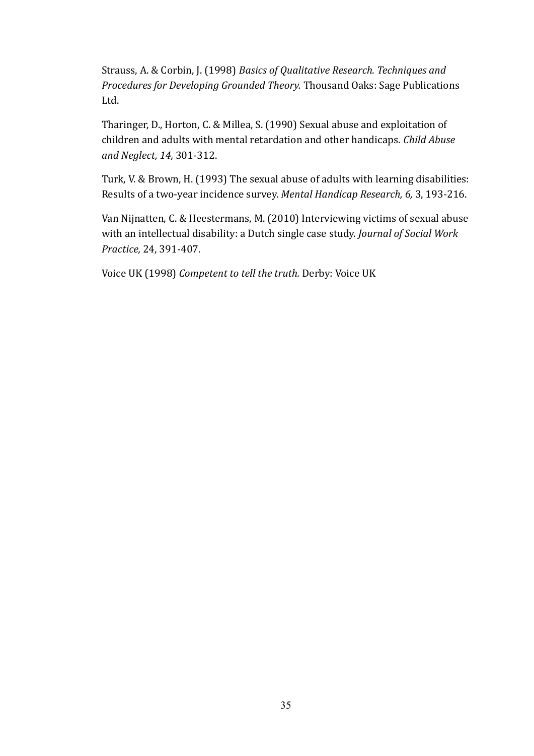Strauss, A. & Corbin, J. (1998) *Basics of Qualitative Research. Techniques and Procedures for Developing Grounded Theory.* Thousand Oaks: Sage Publications Ltd.

Tharinger, D., Horton, C. & Millea, S. (1990) Sexual abuse and exploitation of children and adults with mental retardation and other handicaps. *Child Abuse* and Neglect, 14, 301-312.

Turk, V. & Brown, H. (1993) The sexual abuse of adults with learning disabilities: Results of a two-year incidence survey. Mental Handicap Research, 6, 3, 193-216.

Van Nijnatten, C. & Heestermans, M. (2010) Interviewing victims of sexual abuse with an intellectual disability: a Dutch single case study. *Journal of Social Work Practice*, 24, 391-407.

Voice UK (1998) Competent to tell the truth. Derby: Voice UK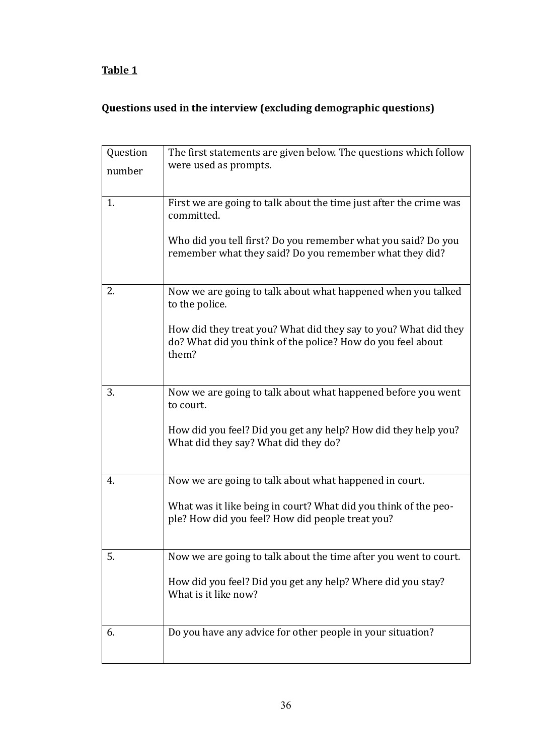## **Table 1**

## **Questions used in the interview (excluding demographic questions)**

| Question | The first statements are given below. The questions which follow                                                                        |
|----------|-----------------------------------------------------------------------------------------------------------------------------------------|
| number   | were used as prompts.                                                                                                                   |
| 1.       | First we are going to talk about the time just after the crime was<br>committed.                                                        |
|          | Who did you tell first? Do you remember what you said? Do you<br>remember what they said? Do you remember what they did?                |
| 2.       | Now we are going to talk about what happened when you talked<br>to the police.                                                          |
|          | How did they treat you? What did they say to you? What did they<br>do? What did you think of the police? How do you feel about<br>them? |
| 3.       | Now we are going to talk about what happened before you went<br>to court.                                                               |
|          | How did you feel? Did you get any help? How did they help you?<br>What did they say? What did they do?                                  |
| 4.       | Now we are going to talk about what happened in court.                                                                                  |
|          | What was it like being in court? What did you think of the peo-<br>ple? How did you feel? How did people treat you?                     |
| 5.       | Now we are going to talk about the time after you went to court.                                                                        |
|          | How did you feel? Did you get any help? Where did you stay?<br>What is it like now?                                                     |
| 6.       | Do you have any advice for other people in your situation?                                                                              |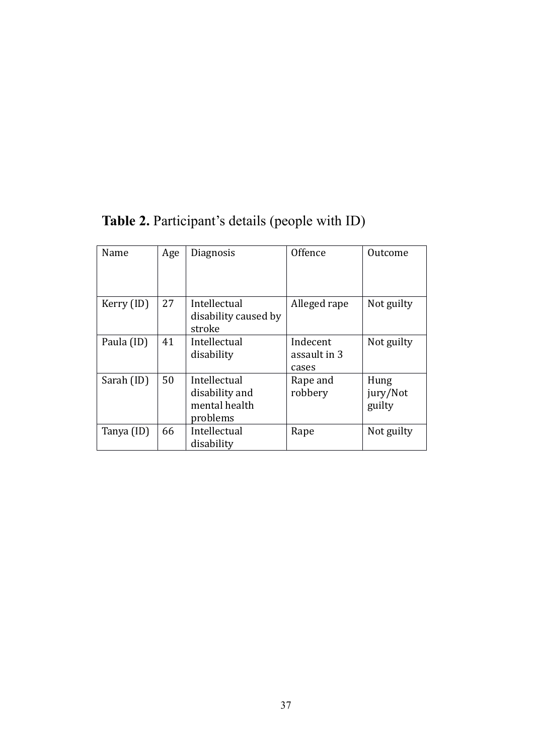| Name       | Age | Diagnosis                                                   | Offence                           | Outcome                    |
|------------|-----|-------------------------------------------------------------|-----------------------------------|----------------------------|
| Kerry (ID) | 27  | Intellectual<br>disability caused by<br>stroke              | Alleged rape                      | Not guilty                 |
| Paula (ID) | 41  | Intellectual<br>disability                                  | Indecent<br>assault in 3<br>cases | Not guilty                 |
| Sarah (ID) | 50  | Intellectual<br>disability and<br>mental health<br>problems | Rape and<br>robbery               | Hung<br>jury/Not<br>guilty |
| Tanya (ID) | 66  | Intellectual<br>disability                                  | Rape                              | Not guilty                 |

**Table 2.** Participant's details (people with ID)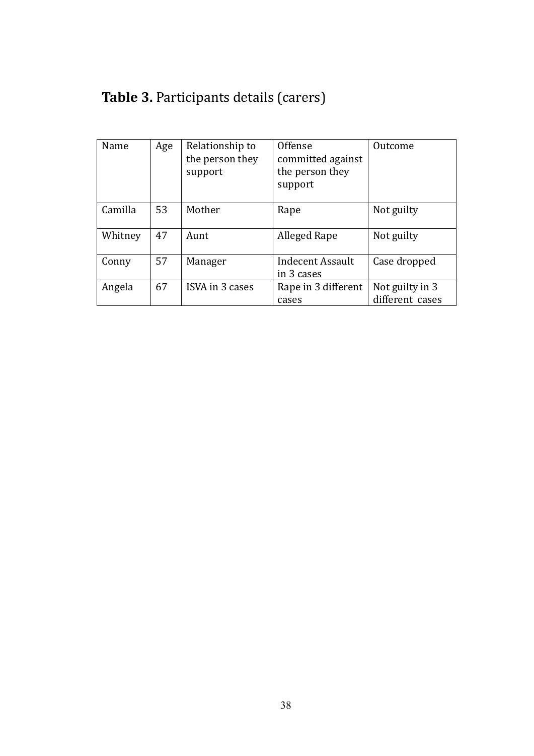|  | <b>Table 3. Participants details (carers)</b> |  |  |
|--|-----------------------------------------------|--|--|
|--|-----------------------------------------------|--|--|

| Name    | Age | Relationship to<br>the person they<br>support | Offense<br>committed against<br>the person they<br>support | Outcome                            |
|---------|-----|-----------------------------------------------|------------------------------------------------------------|------------------------------------|
| Camilla | 53  | Mother                                        | Rape                                                       | Not guilty                         |
| Whitney | 47  | Aunt                                          | Alleged Rape                                               | Not guilty                         |
| Conny   | 57  | Manager                                       | <b>Indecent Assault</b><br>in 3 cases                      | Case dropped                       |
| Angela  | 67  | ISVA in 3 cases                               | Rape in 3 different<br>cases                               | Not guilty in 3<br>different cases |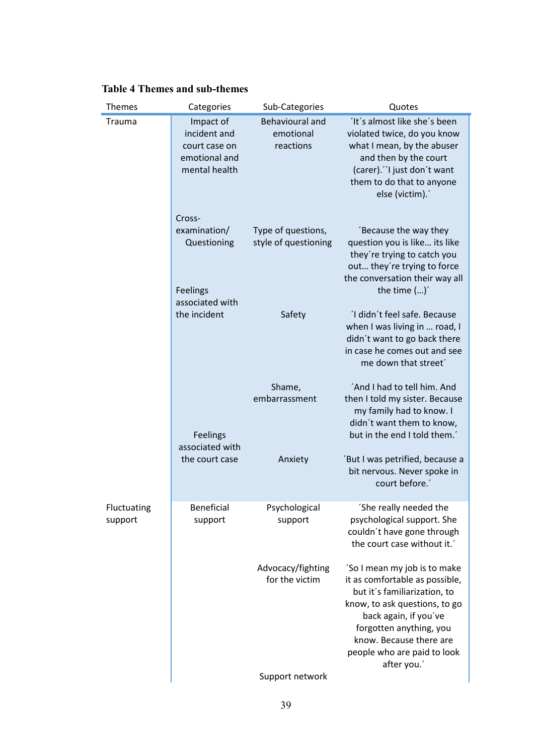| <b>Themes</b>          | Categories                                                                   | Sub-Categories                                   | Quotes                                                                                                                                                                                                                                                      |
|------------------------|------------------------------------------------------------------------------|--------------------------------------------------|-------------------------------------------------------------------------------------------------------------------------------------------------------------------------------------------------------------------------------------------------------------|
| Trauma                 | Impact of<br>incident and<br>court case on<br>emotional and<br>mental health | <b>Behavioural and</b><br>emotional<br>reactions | 'It's almost like she's been<br>violated twice, do you know<br>what I mean, by the abuser<br>and then by the court<br>(carer)."I just don't want<br>them to do that to anyone<br>else (victim).'                                                            |
|                        | Cross-<br>examination/<br>Questioning<br>Feelings                            | Type of questions,<br>style of questioning       | Because the way they<br>question you is like its like<br>they're trying to catch you<br>out they're trying to force<br>the conversation their way all<br>the time $()'$                                                                                     |
|                        | associated with<br>the incident                                              | Safety                                           | 'I didn't feel safe. Because<br>when I was living in  road, I<br>didn't want to go back there<br>in case he comes out and see<br>me down that street'                                                                                                       |
|                        | Feelings<br>associated with                                                  | Shame,<br>embarrassment                          | 'And I had to tell him. And<br>then I told my sister. Because<br>my family had to know. I<br>didn't want them to know,<br>but in the end I told them.                                                                                                       |
|                        | the court case                                                               | Anxiety                                          | 'But I was petrified, because a<br>bit nervous. Never spoke in<br>court before.                                                                                                                                                                             |
| Fluctuating<br>support | <b>Beneficial</b><br>support                                                 | Psychological<br>support                         | She really needed the<br>psychological support. She<br>couldn't have gone through<br>the court case without it.                                                                                                                                             |
|                        |                                                                              | Advocacy/fighting<br>for the victim              | 'So I mean my job is to make<br>it as comfortable as possible,<br>but it's familiarization, to<br>know, to ask questions, to go<br>back again, if you've<br>forgotten anything, you<br>know. Because there are<br>people who are paid to look<br>after you. |
|                        |                                                                              | Support network                                  |                                                                                                                                                                                                                                                             |

#### **Table 4 Themes and sub-themes**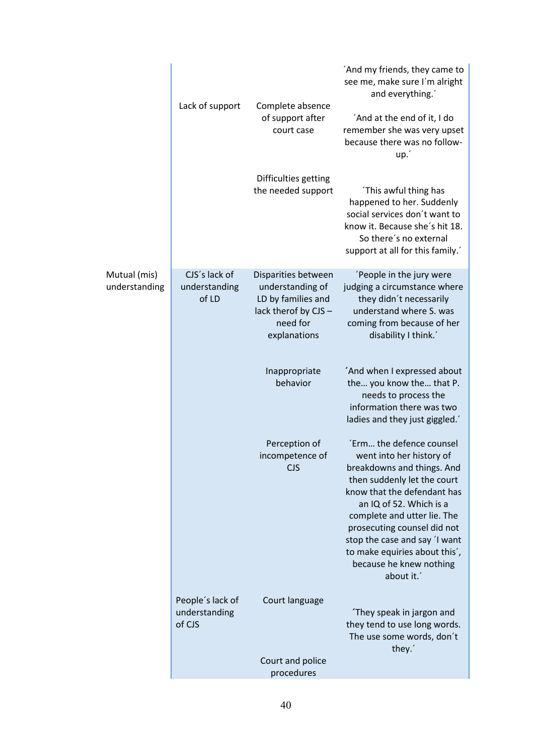|                               | Lack of support                             | Complete absence<br>of support after<br>court case                                                                | 'And my friends, they came to<br>see me, make sure I'm alright<br>and everything.'<br>'And at the end of it, I do<br>remember she was very upset<br>because there was no follow-<br>up.'                                                                                                                                                             |
|-------------------------------|---------------------------------------------|-------------------------------------------------------------------------------------------------------------------|------------------------------------------------------------------------------------------------------------------------------------------------------------------------------------------------------------------------------------------------------------------------------------------------------------------------------------------------------|
|                               |                                             | Difficulties getting<br>the needed support                                                                        | This awful thing has<br>happened to her. Suddenly<br>social services don't want to<br>know it. Because she's hit 18.<br>So there's no external<br>support at all for this family.'                                                                                                                                                                   |
| Mutual (mis)<br>understanding | CJS's lack of<br>understanding<br>of LD     | Disparities between<br>understanding of<br>LD by families and<br>lack therof by CJS -<br>need for<br>explanations | 'People in the jury were<br>judging a circumstance where<br>they didn't necessarily<br>understand where S. was<br>coming from because of her<br>disability I think.'                                                                                                                                                                                 |
|                               |                                             | Inappropriate<br>behavior                                                                                         | And when I expressed about<br>the you know the that P.<br>needs to process the<br>information there was two<br>ladies and they just giggled.                                                                                                                                                                                                         |
|                               |                                             | Perception of<br>incompetence of<br><b>CJS</b>                                                                    | 'Erm the defence counsel<br>went into her history of<br>breakdowns and things. And<br>then suddenly let the court<br>know that the defendant has<br>an IQ of 52. Which is a<br>complete and utter lie. The<br>prosecuting counsel did not<br>stop the case and say 'I want<br>to make equiries about this',<br>because he knew nothing<br>about it.' |
|                               | People's lack of<br>understanding<br>of CJS | Court language                                                                                                    | They speak in jargon and<br>they tend to use long words.<br>The use some words, don't<br>they.                                                                                                                                                                                                                                                       |
|                               |                                             | Court and police<br>procedures                                                                                    |                                                                                                                                                                                                                                                                                                                                                      |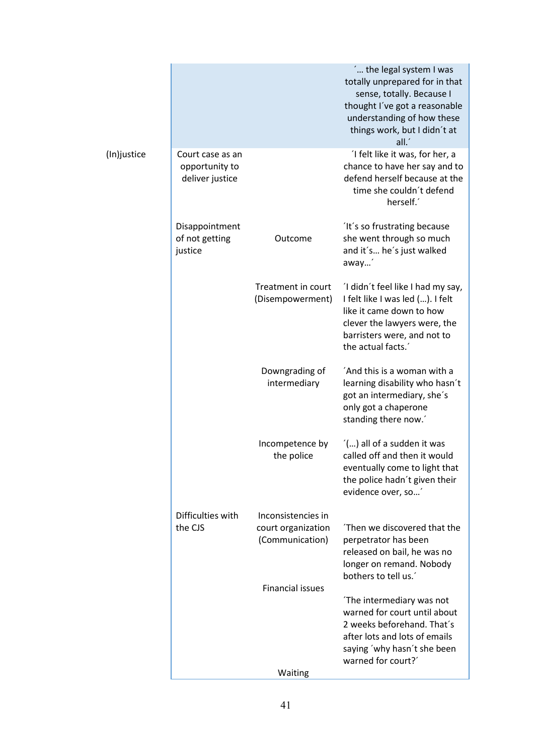|             |                                                       |                                                             | ' the legal system I was<br>totally unprepared for in that<br>sense, totally. Because I<br>thought I've got a reasonable<br>understanding of how these<br>things work, but I didn't at<br>all.' |
|-------------|-------------------------------------------------------|-------------------------------------------------------------|-------------------------------------------------------------------------------------------------------------------------------------------------------------------------------------------------|
| (In)justice | Court case as an<br>opportunity to<br>deliver justice |                                                             | 'I felt like it was, for her, a<br>chance to have her say and to<br>defend herself because at the<br>time she couldn't defend<br>herself.                                                       |
|             | Disappointment<br>of not getting<br>justice           | Outcome                                                     | It's so frustrating because<br>she went through so much<br>and it's he's just walked<br>away'                                                                                                   |
|             |                                                       | Treatment in court<br>(Disempowerment)                      | 'I didn't feel like I had my say,<br>I felt like I was led (). I felt<br>like it came down to how<br>clever the lawyers were, the<br>barristers were, and not to<br>the actual facts.'          |
|             |                                                       | Downgrading of<br>intermediary                              | 'And this is a woman with a<br>learning disability who hasn't<br>got an intermediary, she's<br>only got a chaperone<br>standing there now.'                                                     |
|             |                                                       | Incompetence by<br>the police                               | () all of a sudden it was<br>called off and then it would<br>eventually come to light that<br>the police hadn't given their<br>evidence over, so                                                |
|             | Difficulties with<br>the CJS                          | Inconsistencies in<br>court organization<br>(Communication) | Then we discovered that the<br>perpetrator has been<br>released on bail, he was no<br>longer on remand. Nobody<br>bothers to tell us.'                                                          |
|             |                                                       | <b>Financial issues</b><br>Waiting                          | The intermediary was not<br>warned for court until about<br>2 weeks beforehand. That's<br>after lots and lots of emails<br>saying 'why hasn't she been<br>warned for court?'                    |
|             |                                                       |                                                             |                                                                                                                                                                                                 |